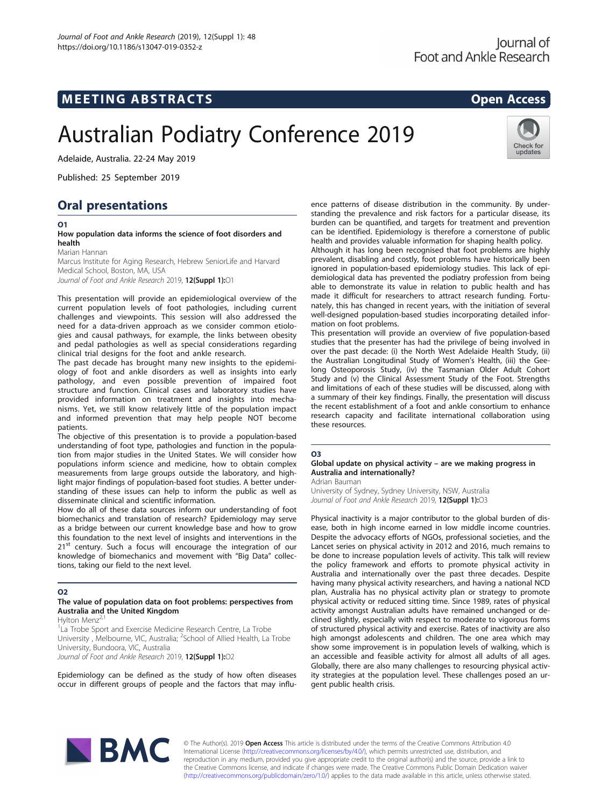# MEETING ABSTRACTS AND RESOLUTION OPEN ACCESS

# Australian Podiatry Conference 2019

Adelaide, Australia. 22-24 May 2019

Published: 25 September 2019

# Oral presentations

# O1

#### How population data informs the science of foot disorders and health

Marian Hannan

Marcus Institute for Aging Research, Hebrew SeniorLife and Harvard Medical School, Boston, MA, USA

Journal of Foot and Ankle Research 2019, 12(Suppl 1):01

This presentation will provide an epidemiological overview of the current population levels of foot pathologies, including current challenges and viewpoints. This session will also addressed the need for a data-driven approach as we consider common etiologies and causal pathways, for example, the links between obesity and pedal pathologies as well as special considerations regarding clinical trial designs for the foot and ankle research.

The past decade has brought many new insights to the epidemiology of foot and ankle disorders as well as insights into early pathology, and even possible prevention of impaired foot structure and function. Clinical cases and laboratory studies have provided information on treatment and insights into mechanisms. Yet, we still know relatively little of the population impact and informed prevention that may help people NOT become patients.

The objective of this presentation is to provide a population-based understanding of foot type, pathologies and function in the population from major studies in the United States. We will consider how populations inform science and medicine, how to obtain complex measurements from large groups outside the laboratory, and highlight major findings of population-based foot studies. A better understanding of these issues can help to inform the public as well as disseminate clinical and scientific information.

How do all of these data sources inform our understanding of foot biomechanics and translation of research? Epidemiology may serve as a bridge between our current knowledge base and how to grow this foundation to the next level of insights and interventions in the 21<sup>st</sup> century. Such a focus will encourage the integration of our knowledge of biomechanics and movement with "Big Data" collections, taking our field to the next level.

# O2

#### The value of population data on foot problems: perspectives from Australia and the United Kingdom

Hylton Menz

<sup>1</sup> La Trobe Sport and Exercise Medicine Research Centre, La Trobe University, Melbourne, VIC, Australia; <sup>2</sup>School of Allied Health, La Trobe University, Bundoora, VIC, Australia Journal of Foot and Ankle Research 2019, 12(Suppl 1):O2

Epidemiology can be defined as the study of how often diseases occur in different groups of people and the factors that may influ-

ence patterns of disease distribution in the community. By understanding the prevalence and risk factors for a particular disease, its burden can be quantified, and targets for treatment and prevention can be identified. Epidemiology is therefore a cornerstone of public health and provides valuable information for shaping health policy.

Although it has long been recognised that foot problems are highly prevalent, disabling and costly, foot problems have historically been ignored in population-based epidemiology studies. This lack of epidemiological data has prevented the podiatry profession from being able to demonstrate its value in relation to public health and has made it difficult for researchers to attract research funding. Fortunately, this has changed in recent years, with the initiation of several well-designed population-based studies incorporating detailed information on foot problems.

This presentation will provide an overview of five population-based studies that the presenter has had the privilege of being involved in over the past decade: (i) the North West Adelaide Health Study, (ii) the Australian Longitudinal Study of Women's Health, (iii) the Geelong Osteoporosis Study, (iv) the Tasmanian Older Adult Cohort Study and (v) the Clinical Assessment Study of the Foot. Strengths and limitations of each of these studies will be discussed, along with a summary of their key findings. Finally, the presentation will discuss the recent establishment of a foot and ankle consortium to enhance research capacity and facilitate international collaboration using these resources.

#### O3

# Global update on physical activity – are we making progress in Australia and internationally?

Adrian Bauman

University of Sydney, Sydney University, NSW, Australia Journal of Foot and Ankle Research 2019, 12(Suppl 1):03

Physical inactivity is a major contributor to the global burden of disease, both in high income earned in low middle income countries. Despite the advocacy efforts of NGOs, professional societies, and the Lancet series on physical activity in 2012 and 2016, much remains to be done to increase population levels of activity. This talk will review the policy framework and efforts to promote physical activity in Australia and internationally over the past three decades. Despite having many physical activity researchers, and having a national NCD plan, Australia has no physical activity plan or strategy to promote physical activity or reduced sitting time. Since 1989, rates of physical activity amongst Australian adults have remained unchanged or declined slightly, especially with respect to moderate to vigorous forms of structured physical activity and exercise. Rates of inactivity are also high amongst adolescents and children. The one area which may show some improvement is in population levels of walking, which is an accessible and feasible activity for almost all adults of all ages. Globally, there are also many challenges to resourcing physical activity strategies at the population level. These challenges posed an urgent public health crisis.



© The Author(s). 2019 Open Access This article is distributed under the terms of the Creative Commons Attribution 4.0 International License ([http://creativecommons.org/licenses/by/4.0/\)](http://creativecommons.org/licenses/by/4.0/), which permits unrestricted use, distribution, and reproduction in any medium, provided you give appropriate credit to the original author(s) and the source, provide a link to the Creative Commons license, and indicate if changes were made. The Creative Commons Public Domain Dedication waiver ([http://creativecommons.org/publicdomain/zero/1.0/\)](http://creativecommons.org/publicdomain/zero/1.0/) applies to the data made available in this article, unless otherwise stated.



Check for updates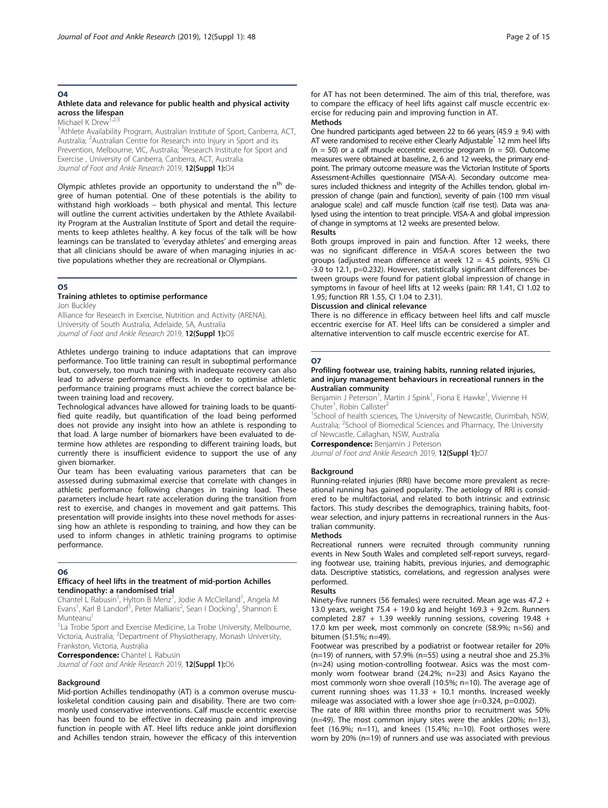# O4

# Athlete data and relevance for public health and physical activity across the lifespan

Michael K Drew

<sup>1</sup> Athlete Availability Program, Australian Institute of Sport, Canberra, ACT, Australia; <sup>2</sup> Australian Centre for Research into Injury in Sport and its Prevention, Melbourne, VIC, Australia; <sup>3</sup>Research Institute for Sport and Exercise , University of Canberra, Canberra, ACT, Australia Journal of Foot and Ankle Research 2019, 12(Suppl 1):04

Olympic athletes provide an opportunity to understand the n<sup>th</sup> degree of human potential. One of these potentials is the ability to withstand high workloads – both physical and mental. This lecture will outline the current activities undertaken by the Athlete Availability Program at the Australian Institute of Sport and detail the requirements to keep athletes healthy. A key focus of the talk will be how learnings can be translated to 'everyday athletes' and emerging areas that all clinicians should be aware of when managing injuries in active populations whether they are recreational or Olympians.

#### O5

# Training athletes to optimise performance

Jon Buckley Alliance for Research in Exercise, Nutrition and Activity (ARENA), University of South Australia, Adelaide, SA, Australia Journal of Foot and Ankle Research 2019, 12(Suppl 1):05

Athletes undergo training to induce adaptations that can improve performance. Too little training can result in suboptimal performance but, conversely, too much training with inadequate recovery can also lead to adverse performance effects. In order to optimise athletic performance training programs must achieve the correct balance between training load and recovery.

Technological advances have allowed for training loads to be quantified quite readily, but quantification of the load being performed does not provide any insight into how an athlete is responding to that load. A large number of biomarkers have been evaluated to determine how athletes are responding to different training loads, but currently there is insufficient evidence to support the use of any given biomarker.

Our team has been evaluating various parameters that can be assessed during submaximal exercise that correlate with changes in athletic performance following changes in training load. These parameters include heart rate acceleration during the transition from rest to exercise, and changes in movement and gait patterns. This presentation will provide insights into these novel methods for assessing how an athlete is responding to training, and how they can be used to inform changes in athletic training programs to optimise performance.

#### O6

#### Efficacy of heel lifts in the treatment of mid-portion Achilles tendinopathy: a randomised trial

Chantel L Rabusin<sup>1</sup>, Hylton B Menz<sup>1</sup>, Jodie A McClelland<sup>1</sup>, Angela M Evans<sup>1</sup>, Karl B Landorf<sup>1</sup>, Peter Malliaris<sup>2</sup>, Sean I Docking<sup>1</sup>, Shannon E Munteanu

<sup>1</sup> La Trobe Sport and Exercise Medicine, La Trobe University, Melbourne, Victoria, Australia; <sup>2</sup>Department of Physiotherapy, Monash University, Frankston, Victoria, Australia

**Correspondence:** Chantel L Rabusin

Journal of Foot and Ankle Research 2019, 12(Suppl 1):06

#### **Background**

Mid-portion Achilles tendinopathy (AT) is a common overuse musculoskeletal condition causing pain and disability. There are two commonly used conservative interventions. Calf muscle eccentric exercise has been found to be effective in decreasing pain and improving function in people with AT. Heel lifts reduce ankle joint dorsiflexion and Achilles tendon strain, however the efficacy of this intervention

for AT has not been determined. The aim of this trial, therefore, was to compare the efficacy of heel lifts against calf muscle eccentric exercise for reducing pain and improving function in AT. Methods

One hundred participants aged between 22 to 66 years (45.9  $\pm$  9.4) with AT were randomised to receive either Clearly Adjustable<sup>®</sup> 12 mm heel lifts  $(n = 50)$  or a calf muscle eccentric exercise program  $(n = 50)$ . Outcome measures were obtained at baseline, 2, 6 and 12 weeks, the primary endpoint. The primary outcome measure was the Victorian Institute of Sports Assessment-Achilles questionnaire (VISA-A). Secondary outcome measures included thickness and integrity of the Achilles tendon, global impression of change (pain and function), severity of pain (100 mm visual analogue scale) and calf muscle function (calf rise test). Data was analysed using the intention to treat principle. VISA-A and global impression of change in symptoms at 12 weeks are presented below. Results

Both groups improved in pain and function. After 12 weeks, there was no significant difference in VISA-A scores between the two groups (adjusted mean difference at week  $12 = 4.5$  points, 95% CI -3.0 to 12.1, p=0.232). However, statistically significant differences between groups were found for patient global impression of change in symptoms in favour of heel lifts at 12 weeks (pain: RR 1.41, CI 1.02 to 1.95; function RR 1.55, CI 1.04 to 2.31).

#### Discussion and clinical relevance

There is no difference in efficacy between heel lifts and calf muscle eccentric exercise for AT. Heel lifts can be considered a simpler and alternative intervention to calf muscle eccentric exercise for AT.

#### O7

#### Profiling footwear use, training habits, running related injuries, and injury management behaviours in recreational runners in the Australian community

Benjamin J Peterson<sup>1</sup>, Martin J Spink<sup>1</sup>, Fiona E Hawke<sup>1</sup>, Vivienne H Chuter<sup>1</sup>, Robin Callister<sup>2</sup>

<sup>1</sup>School of health sciences, The University of Newcastle, Ourimbah, NSW, Australia; <sup>2</sup>School of Biomedical Sciences and Pharmacy, The University of Newcastle, Callaghan, NSW, Australia

**Correspondence: Benjamin J Peterson** 

Journal of Foot and Ankle Research 2019, 12(Suppl 1):07

#### **Background**

Running-related injuries (RRI) have become more prevalent as recreational running has gained popularity. The aetiology of RRI is considered to be multifactorial, and related to both intrinsic and extrinsic factors. This study describes the demographics, training habits, footwear selection, and injury patterns in recreational runners in the Australian community.

#### Methods

Recreational runners were recruited through community running events in New South Wales and completed self-report surveys, regarding footwear use, training habits, previous injuries, and demographic data. Descriptive statistics, correlations, and regression analyses were performed.

#### Results

Ninety-five runners (56 females) were recruited. Mean age was 47.2 + 13.0 years, weight 75.4 + 19.0 kg and height 169.3 + 9.2cm. Runners completed 2.87 + 1.39 weekly running sessions, covering 19.48 + 17.0 km per week, most commonly on concrete (58.9%; n=56) and bitumen (51.5%; n=49).

Footwear was prescribed by a podiatrist or footwear retailer for 20% (n=19) of runners, with 57.9% (n=55) using a neutral shoe and 25.3% (n=24) using motion-controlling footwear. Asics was the most commonly worn footwear brand (24.2%; n=23) and Asics Kayano the most commonly worn shoe overall (10.5%; n=10). The average age of current running shoes was  $11.33 + 10.1$  months. Increased weekly mileage was associated with a lower shoe age (r=0.324, p=0.002).

The rate of RRI within three months prior to recruitment was 50% (n=49). The most common injury sites were the ankles (20%; n=13), feet (16.9%; n=11), and knees (15.4%; n=10). Foot orthoses were worn by 20% (n=19) of runners and use was associated with previous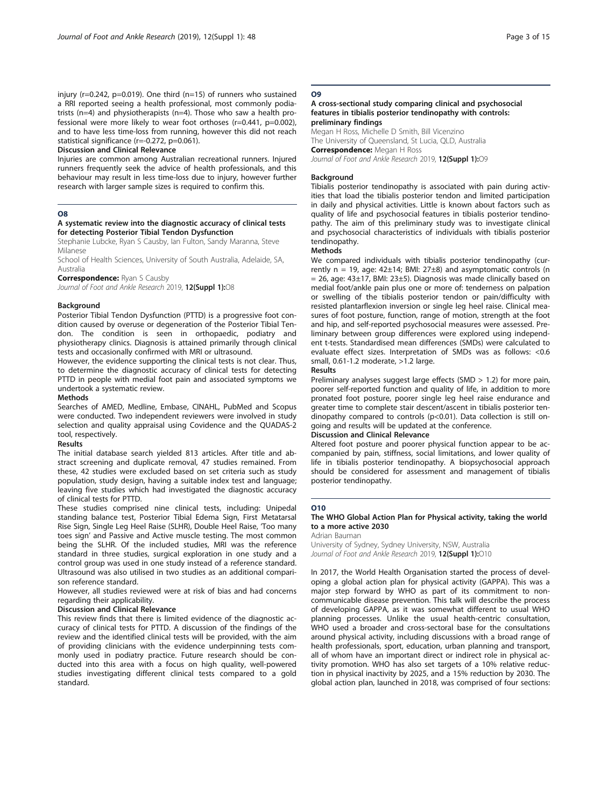#### Discussion and Clinical Relevance

Injuries are common among Australian recreational runners. Injured runners frequently seek the advice of health professionals, and this behaviour may result in less time-loss due to injury, however further research with larger sample sizes is required to confirm this.

#### O8

#### A systematic review into the diagnostic accuracy of clinical tests for detecting Posterior Tibial Tendon Dysfunction

Stephanie Lubcke, Ryan S Causby, Ian Fulton, Sandy Maranna, Steve Milanese

School of Health Sciences, University of South Australia, Adelaide, SA, Australia

**Correspondence: Ryan S Causby** 

Journal of Foot and Ankle Research 2019, 12(Suppl 1):08

#### Background

Posterior Tibial Tendon Dysfunction (PTTD) is a progressive foot condition caused by overuse or degeneration of the Posterior Tibial Tendon. The condition is seen in orthopaedic, podiatry and physiotherapy clinics. Diagnosis is attained primarily through clinical tests and occasionally confirmed with MRI or ultrasound.

However, the evidence supporting the clinical tests is not clear. Thus, to determine the diagnostic accuracy of clinical tests for detecting PTTD in people with medial foot pain and associated symptoms we undertook a systematic review.

#### Methods

Searches of AMED, Medline, Embase, CINAHL, PubMed and Scopus were conducted. Two independent reviewers were involved in study selection and quality appraisal using Covidence and the QUADAS-2 tool, respectively.

#### Results

The initial database search yielded 813 articles. After title and abstract screening and duplicate removal, 47 studies remained. From these, 42 studies were excluded based on set criteria such as study population, study design, having a suitable index test and language; leaving five studies which had investigated the diagnostic accuracy of clinical tests for PTTD.

These studies comprised nine clinical tests, including: Unipedal standing balance test, Posterior Tibial Edema Sign, First Metatarsal Rise Sign, Single Leg Heel Raise (SLHR), Double Heel Raise, 'Too many toes sign' and Passive and Active muscle testing. The most common being the SLHR. Of the included studies, MRI was the reference standard in three studies, surgical exploration in one study and a control group was used in one study instead of a reference standard. Ultrasound was also utilised in two studies as an additional comparison reference standard.

However, all studies reviewed were at risk of bias and had concerns regarding their applicability.

#### Discussion and Clinical Relevance

This review finds that there is limited evidence of the diagnostic accuracy of clinical tests for PTTD. A discussion of the findings of the review and the identified clinical tests will be provided, with the aim of providing clinicians with the evidence underpinning tests commonly used in podiatry practice. Future research should be conducted into this area with a focus on high quality, well-powered studies investigating different clinical tests compared to a gold standard.

#### O9

#### A cross-sectional study comparing clinical and psychosocial features in tibialis posterior tendinopathy with controls: preliminary findings

Megan H Ross, Michelle D Smith, Bill Vicenzino The University of Queensland, St Lucia, QLD, Australia Correspondence: Megan H Ross

Journal of Foot and Ankle Research 2019, 12(Suppl 1):09

#### Background

Tibialis posterior tendinopathy is associated with pain during activities that load the tibialis posterior tendon and limited participation in daily and physical activities. Little is known about factors such as quality of life and psychosocial features in tibialis posterior tendinopathy. The aim of this preliminary study was to investigate clinical and psychosocial characteristics of individuals with tibialis posterior tendinopathy.

#### **Methods**

We compared individuals with tibialis posterior tendinopathy (currently  $n = 19$ , age:  $42\pm14$ ; BMI:  $27\pm8$ ) and asymptomatic controls (n  $= 26$ , age: 43±17, BMI: 23±5). Diagnosis was made clinically based on medial foot/ankle pain plus one or more of: tenderness on palpation or swelling of the tibialis posterior tendon or pain/difficulty with resisted plantarflexion inversion or single leg heel raise. Clinical measures of foot posture, function, range of motion, strength at the foot and hip, and self-reported psychosocial measures were assessed. Preliminary between group differences were explored using independent t-tests. Standardised mean differences (SMDs) were calculated to evaluate effect sizes. Interpretation of SMDs was as follows: <0.6 small, 0.61-1.2 moderate, >1.2 large.

Results

Preliminary analyses suggest large effects (SMD > 1.2) for more pain, poorer self-reported function and quality of life, in addition to more pronated foot posture, poorer single leg heel raise endurance and greater time to complete stair descent/ascent in tibialis posterior tendinopathy compared to controls (p<0.01). Data collection is still ongoing and results will be updated at the conference.

#### Discussion and Clinical Relevance

Altered foot posture and poorer physical function appear to be accompanied by pain, stiffness, social limitations, and lower quality of life in tibialis posterior tendinopathy. A biopsychosocial approach should be considered for assessment and management of tibialis posterior tendinopathy.

#### O10

#### The WHO Global Action Plan for Physical activity, taking the world to a more active 2030

#### Adrian Bauman

University of Sydney, Sydney University, NSW, Australia Journal of Foot and Ankle Research 2019, 12(Suppl 1):010

In 2017, the World Health Organisation started the process of developing a global action plan for physical activity (GAPPA). This was a major step forward by WHO as part of its commitment to noncommunicable disease prevention. This talk will describe the process of developing GAPPA, as it was somewhat different to usual WHO planning processes. Unlike the usual health-centric consultation, WHO used a broader and cross-sectoral base for the consultations around physical activity, including discussions with a broad range of health professionals, sport, education, urban planning and transport, all of whom have an important direct or indirect role in physical activity promotion. WHO has also set targets of a 10% relative reduction in physical inactivity by 2025, and a 15% reduction by 2030. The global action plan, launched in 2018, was comprised of four sections: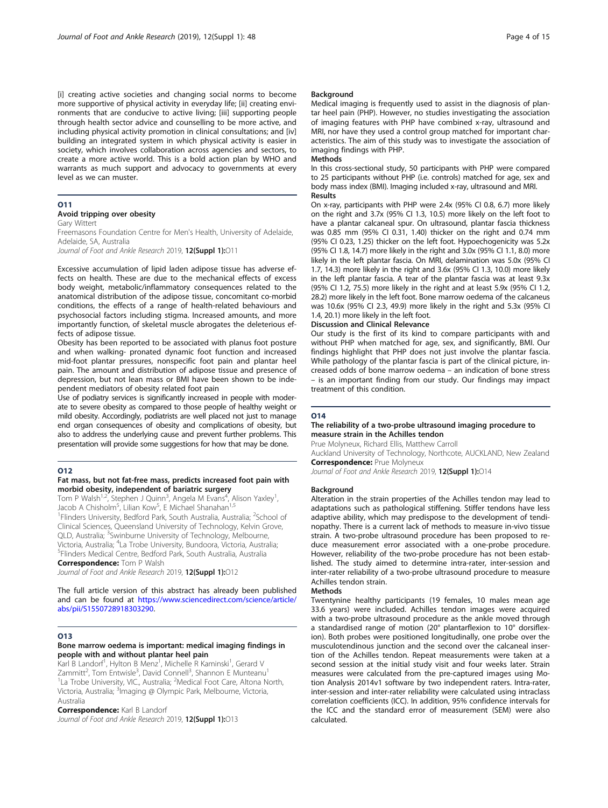[i] creating active societies and changing social norms to become more supportive of physical activity in everyday life; [ii] creating environments that are conducive to active living; [iii] supporting people through health sector advice and counselling to be more active, and including physical activity promotion in clinical consultations; and [iv] building an integrated system in which physical activity is easier in society, which involves collaboration across agencies and sectors, to create a more active world. This is a bold action plan by WHO and warrants as much support and advocacy to governments at every level as we can muster.

# O11

# Avoid tripping over obesity

Gary Wittert Freemasons Foundation Centre for Men's Health, University of Adelaide, Adelaide, SA, Australia

Journal of Foot and Ankle Research 2019, 12(Suppl 1):011

Excessive accumulation of lipid laden adipose tissue has adverse effects on health. These are due to the mechanical effects of excess body weight, metabolic/inflammatory consequences related to the anatomical distribution of the adipose tissue, concomitant co-morbid conditions, the effects of a range of health-related behaviours and psychosocial factors including stigma. Increased amounts, and more importantly function, of skeletal muscle abrogates the deleterious effects of adipose tissue.

Obesity has been reported to be associated with planus foot posture and when walking- pronated dynamic foot function and increased mid-foot plantar pressures, nonspecific foot pain and plantar heel pain. The amount and distribution of adipose tissue and presence of depression, but not lean mass or BMI have been shown to be independent mediators of obesity related foot pain

Use of podiatry services is significantly increased in people with moderate to severe obesity as compared to those people of healthy weight or mild obesity. Accordingly, podiatrists are well placed not just to manage end organ consequences of obesity and complications of obesity, but also to address the underlying cause and prevent further problems. This presentation will provide some suggestions for how that may be done.

#### O12

#### Fat mass, but not fat-free mass, predicts increased foot pain with morbid obesity, independent of bariatric surgery

Tom P Walsh<sup>1,2</sup>, Stephen J Quinn<sup>3</sup>, Angela M Evans<sup>4</sup>, Alison Yaxley<sup>1</sup> , Jacob A Chisholm<sup>5</sup>, Lilian Kow<sup>5</sup>, E Michael Shanahan<sup>1,5</sup> <sup>1</sup> Flinders University, Bedford Park, South Australia, Australia; <sup>2</sup> School of Clinical Sciences, Queensland University of Technology, Kelvin Grove, QLD, Australia; <sup>3</sup>Swinburne University of Technology, Melbourne, Victoria, Australia; <sup>4</sup>La Trobe University, Bundoora, Victoria, Australia;<br><sup>5</sup>Elindors Modical Contro, Bodford Park, South Australia, Australia; Flinders Medical Centre, Bedford Park, South Australia, Australia Correspondence: Tom P Walsh

Journal of Foot and Ankle Research 2019, 12(Suppl 1):012

The full article version of this abstract has already been published and can be found at [https://www.sciencedirect.com/science/article/](https://www.sciencedirect.com/science/article/abs/pii/S1550728918303290) [abs/pii/S1550728918303290](https://www.sciencedirect.com/science/article/abs/pii/S1550728918303290).

#### O13

#### Bone marrow oedema is important: medical imaging findings in people with and without plantar heel pain

Karl B Landorf<sup>1</sup>, Hylton B Menz<sup>1</sup>, Michelle R Kaminski<sup>1</sup>, Gerard V Zammitt<sup>2</sup>, Tom Entwisle<sup>3</sup>, David Connell<sup>3</sup>, Shannon E Munteanu<sup>1</sup> <sup>1</sup>La Trobe University, VIC., Australia; <sup>2</sup>Medical Foot Care, Altona North, Victoria, Australia; <sup>3</sup>ĺmaging @ Olympic Park, Melbourne, Victoria, Australia

#### **Correspondence:** Karl B Landorf

Journal of Foot and Ankle Research 2019, 12(Suppl 1):013

#### Background

Medical imaging is frequently used to assist in the diagnosis of plantar heel pain (PHP). However, no studies investigating the association of imaging features with PHP have combined x-ray, ultrasound and MRI, nor have they used a control group matched for important characteristics. The aim of this study was to investigate the association of imaging findings with PHP.

#### Methods

In this cross-sectional study, 50 participants with PHP were compared to 25 participants without PHP (i.e. controls) matched for age, sex and body mass index (BMI). Imaging included x-ray, ultrasound and MRI. Results

On x-ray, participants with PHP were 2.4x (95% CI 0.8, 6.7) more likely on the right and 3.7x (95% CI 1.3, 10.5) more likely on the left foot to have a plantar calcaneal spur. On ultrasound, plantar fascia thickness was 0.85 mm (95% CI 0.31, 1.40) thicker on the right and 0.74 mm (95% CI 0.23, 1.25) thicker on the left foot. Hypoechogenicity was 5.2x (95% CI 1.8, 14.7) more likely in the right and 3.0x (95% CI 1.1, 8.0) more likely in the left plantar fascia. On MRI, delamination was 5.0x (95% CI 1.7, 14.3) more likely in the right and 3.6x (95% CI 1.3, 10.0) more likely in the left plantar fascia. A tear of the plantar fascia was at least 9.3x (95% CI 1.2, 75.5) more likely in the right and at least 5.9x (95% CI 1.2, 28.2) more likely in the left foot. Bone marrow oedema of the calcaneus was 10.6x (95% CI 2.3, 49.9) more likely in the right and 5.3x (95% CI 1.4, 20.1) more likely in the left foot.

#### Discussion and Clinical Relevance

Our study is the first of its kind to compare participants with and without PHP when matched for age, sex, and significantly, BMI. Our findings highlight that PHP does not just involve the plantar fascia. While pathology of the plantar fascia is part of the clinical picture, increased odds of bone marrow oedema – an indication of bone stress – is an important finding from our study. Our findings may impact treatment of this condition.

#### O14

#### The reliability of a two-probe ultrasound imaging procedure to measure strain in the Achilles tendon

Prue Molyneux, Richard Ellis, Matthew Carroll

Auckland University of Technology, Northcote, AUCKLAND, New Zealand **Correspondence: Prue Molyneux** 

Journal of Foot and Ankle Research 2019, 12(Suppl 1):014

#### **Background**

Alteration in the strain properties of the Achilles tendon may lead to adaptations such as pathological stiffening. Stiffer tendons have less adaptive ability, which may predispose to the development of tendinopathy. There is a current lack of methods to measure in-vivo tissue strain. A two-probe ultrasound procedure has been proposed to reduce measurement error associated with a one-probe procedure. However, reliability of the two-probe procedure has not been established. The study aimed to determine intra-rater, inter-session and inter-rater reliability of a two-probe ultrasound procedure to measure Achilles tendon strain.

#### **Methods**

Twentynine healthy participants (19 females, 10 males mean age 33.6 years) were included. Achilles tendon images were acquired with a two-probe ultrasound procedure as the ankle moved through a standardised range of motion (20° plantarflexion to 10° dorsiflexion). Both probes were positioned longitudinally, one probe over the musculotendinous junction and the second over the calcaneal insertion of the Achilles tendon. Repeat measurements were taken at a second session at the initial study visit and four weeks later. Strain measures were calculated from the pre-captured images using Motion Analysis 2014v1 software by two independent raters. Intra-rater, inter-session and inter-rater reliability were calculated using intraclass correlation coefficients (ICC). In addition, 95% confidence intervals for the ICC and the standard error of measurement (SEM) were also calculated.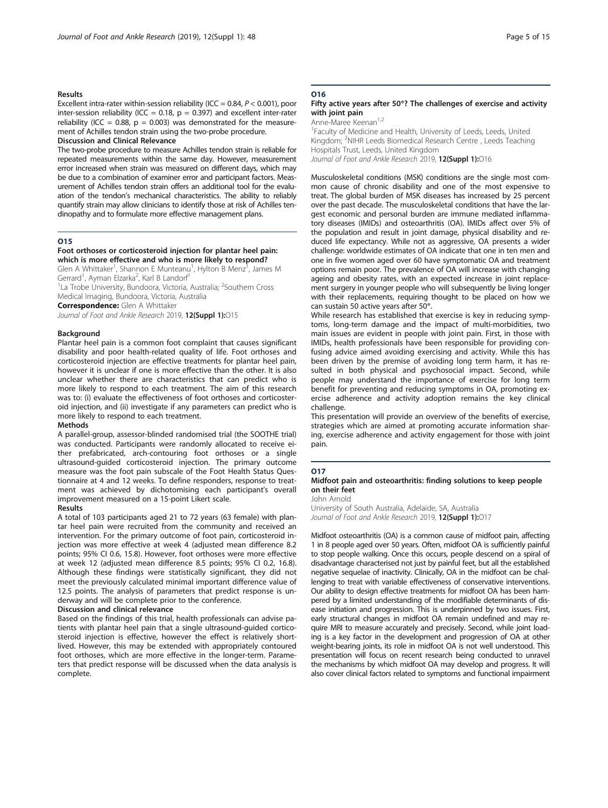#### Results

Excellent intra-rater within-session reliability (ICC =  $0.84$ ,  $P < 0.001$ ), poor inter-session reliability (ICC = 0.18,  $p = 0.397$ ) and excellent inter-rater reliability (ICC = 0.88,  $p = 0.003$ ) was demonstrated for the measurement of Achilles tendon strain using the two-probe procedure.

### Discussion and Clinical Relevance

The two-probe procedure to measure Achilles tendon strain is reliable for repeated measurements within the same day. However, measurement error increased when strain was measured on different days, which may be due to a combination of examiner error and participant factors. Measurement of Achilles tendon strain offers an additional tool for the evaluation of the tendon's mechanical characteristics. The ability to reliably quantify strain may allow clinicians to identify those at risk of Achilles tendinopathy and to formulate more effective management plans.

#### O15

#### Foot orthoses or corticosteroid injection for plantar heel pain: which is more effective and who is more likely to respond?

Glen A Whittaker<sup>1</sup>, Shannon E Munteanu<sup>1</sup>, Hylton B Menz<sup>1</sup>, James M Gerrard<sup>1</sup>, Ayman Elzarka<sup>2</sup>, Karl B Landorf<sup>1</sup>

<sup>1</sup> La Trobe Úniversity, Bundoora, Victoria, Australia; <sup>2</sup>Southern Cross Medical Imaging, Bundoora, Victoria, Australia

**Correspondence:** Glen A Whittaker

Journal of Foot and Ankle Research 2019, 12(Suppl 1):015

#### **Background**

Plantar heel pain is a common foot complaint that causes significant disability and poor health-related quality of life. Foot orthoses and corticosteroid injection are effective treatments for plantar heel pain, however it is unclear if one is more effective than the other. It is also unclear whether there are characteristics that can predict who is more likely to respond to each treatment. The aim of this research was to: (i) evaluate the effectiveness of foot orthoses and corticosteroid injection, and (ii) investigate if any parameters can predict who is more likely to respond to each treatment.

#### Methods

A parallel-group, assessor-blinded randomised trial (the SOOTHE trial) was conducted. Participants were randomly allocated to receive either prefabricated, arch-contouring foot orthoses or a single ultrasound-guided corticosteroid injection. The primary outcome measure was the foot pain subscale of the Foot Health Status Questionnaire at 4 and 12 weeks. To define responders, response to treatment was achieved by dichotomising each participant's overall improvement measured on a 15-point Likert scale.

#### Results

A total of 103 participants aged 21 to 72 years (63 female) with plantar heel pain were recruited from the community and received an intervention. For the primary outcome of foot pain, corticosteroid injection was more effective at week 4 (adjusted mean difference 8.2 points; 95% CI 0.6, 15.8). However, foot orthoses were more effective at week 12 (adjusted mean difference 8.5 points; 95% CI 0.2, 16.8). Although these findings were statistically significant, they did not meet the previously calculated minimal important difference value of 12.5 points. The analysis of parameters that predict response is underway and will be complete prior to the conference.

#### Discussion and clinical relevance

Based on the findings of this trial, health professionals can advise patients with plantar heel pain that a single ultrasound-guided corticosteroid injection is effective, however the effect is relatively shortlived. However, this may be extended with appropriately contoured foot orthoses, which are more effective in the longer-term. Parameters that predict response will be discussed when the data analysis is complete.

# O16

#### Fifty active years after 50®? The challenges of exercise and activity with joint pain

Anne-Maree Keenan<sup>1,2</sup> <sup>1</sup>Faculty of Medicine and Health, University of Leeds, Leeds, United Kingdom; <sup>2</sup>NIHR Leeds Biomedical Research Centre, Leeds Teaching Hospitals Trust, Leeds, United Kingdom Journal of Foot and Ankle Research 2019, 12(Suppl 1):016

Musculoskeletal conditions (MSK) conditions are the single most common cause of chronic disability and one of the most expensive to treat. The global burden of MSK diseases has increased by 25 percent over the past decade. The musculoskeletal conditions that have the largest economic and personal burden are immune mediated inflammatory diseases (IMIDs) and osteoarthritis (OA). IMIDs affect over 5% of the population and result in joint damage, physical disability and reduced life expectancy. While not as aggressive, OA presents a wider challenge: worldwide estimates of OA indicate that one in ten men and one in five women aged over 60 have symptomatic OA and treatment options remain poor. The prevalence of OA will increase with changing ageing and obesity rates, with an expected increase in joint replacement surgery in younger people who will subsequently be living longer with their replacements, requiring thought to be placed on how we can sustain 50 active years after 50®.

While research has established that exercise is key in reducing symptoms, long-term damage and the impact of multi-morbidities, two main issues are evident in people with joint pain. First, in those with IMIDs, health professionals have been responsible for providing confusing advice aimed avoiding exercising and activity. While this has been driven by the premise of avoiding long term harm, it has resulted in both physical and psychosocial impact. Second, while people may understand the importance of exercise for long term benefit for preventing and reducing symptoms in OA, promoting exercise adherence and activity adoption remains the key clinical challenge.

This presentation will provide an overview of the benefits of exercise, strategies which are aimed at promoting accurate information sharing, exercise adherence and activity engagement for those with joint pain.

#### O17

#### Midfoot pain and osteoarthritis: finding solutions to keep people on their feet

John Arnold

University of South Australia, Adelaide, SA, Australia Journal of Foot and Ankle Research 2019, 12(Suppl 1):017

Midfoot osteoarthritis (OA) is a common cause of midfoot pain, affecting 1 in 8 people aged over 50 years. Often, midfoot OA is sufficiently painful to stop people walking. Once this occurs, people descend on a spiral of disadvantage characterised not just by painful feet, but all the established negative sequelae of inactivity. Clinically, OA in the midfoot can be challenging to treat with variable effectiveness of conservative interventions. Our ability to design effective treatments for midfoot OA has been hampered by a limited understanding of the modifiable determinants of disease initiation and progression. This is underpinned by two issues. First, early structural changes in midfoot OA remain undefined and may require MRI to measure accurately and precisely. Second, while joint loading is a key factor in the development and progression of OA at other weight-bearing joints, its role in midfoot OA is not well understood. This presentation will focus on recent research being conducted to unravel the mechanisms by which midfoot OA may develop and progress. It will also cover clinical factors related to symptoms and functional impairment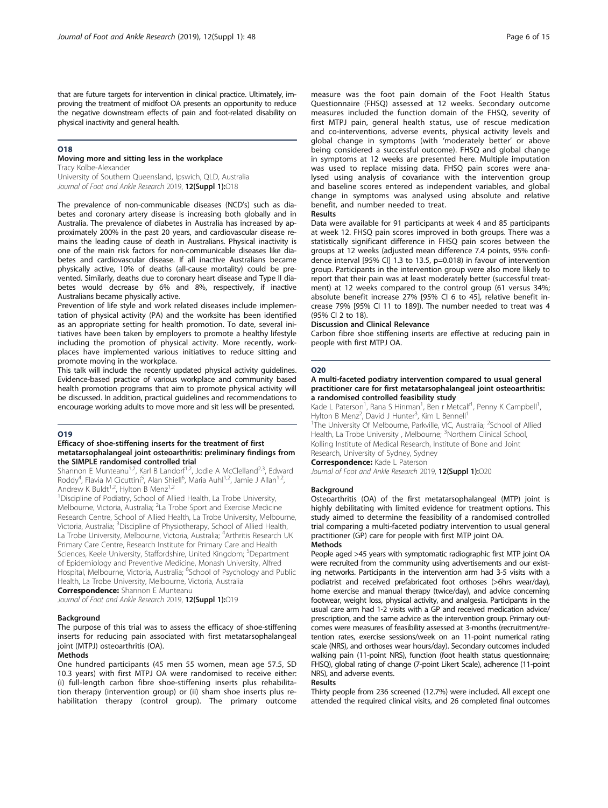that are future targets for intervention in clinical practice. Ultimately, improving the treatment of midfoot OA presents an opportunity to reduce the negative downstream effects of pain and foot-related disability on physical inactivity and general health.

#### O18

# Moving more and sitting less in the workplace

Tracy Kolbe-Alexander University of Southern Queensland, Ipswich, QLD, Australia Journal of Foot and Ankle Research 2019, 12(Suppl 1):018

The prevalence of non-communicable diseases (NCD's) such as diabetes and coronary artery disease is increasing both globally and in Australia. The prevalence of diabetes in Australia has increased by approximately 200% in the past 20 years, and cardiovascular disease remains the leading cause of death in Australians. Physical inactivity is one of the main risk factors for non-communicable diseases like diabetes and cardiovascular disease. If all inactive Australians became physically active, 10% of deaths (all-cause mortality) could be prevented. Similarly, deaths due to coronary heart disease and Type II diabetes would decrease by 6% and 8%, respectively, if inactive Australians became physically active.

Prevention of life style and work related diseases include implementation of physical activity (PA) and the worksite has been identified as an appropriate setting for health promotion. To date, several initiatives have been taken by employers to promote a healthy lifestyle including the promotion of physical activity. More recently, workplaces have implemented various initiatives to reduce sitting and promote moving in the workplace.

This talk will include the recently updated physical activity guidelines. Evidence-based practice of various workplace and community based health promotion programs that aim to promote physical activity will be discussed. In addition, practical guidelines and recommendations to encourage working adults to move more and sit less will be presented.

#### O19

#### Efficacy of shoe-stiffening inserts for the treatment of first metatarsophalangeal joint osteoarthritis: preliminary findings from the SIMPLE randomised controlled trial

Shannon E Munteanu<sup>1,2</sup>, Karl B Landorf<sup>1,2</sup>, Jodie A McClelland<sup>2,3</sup>, Edward Roddy<sup>4</sup>, Flavia M Cicuttini<sup>5</sup>, Alan Shiell<sup>6</sup>, Maria Auhl<sup>1,2</sup>, Jamie J Allan<sup>1,2</sup>, Andrew K Buldt<sup>1,2</sup>, Hylton B Menz<sup>1,2</sup>

<sup>1</sup> Discipline of Podiatry, School of Allied Health, La Trobe University, Melbourne, Victoria, Australia; <sup>2</sup>La Trobe Sport and Exercise Medicine Research Centre, School of Allied Health, La Trobe University, Melbourne, Victoria, Australia; <sup>3</sup>Discipline of Physiotherapy, School of Allied Health, La Trobe University, Melbourne, Victoria, Australia; <sup>4</sup>Arthritis Research UK Primary Care Centre, Research Institute for Primary Care and Health Sciences, Keele University, Staffordshire, United Kingdom; <sup>5</sup>Department of Epidemiology and Preventive Medicine, Monash University, Alfred Hospital, Melbourne, Victoria, Australia; <sup>6</sup>School of Psychology and Public Health, La Trobe University, Melbourne, Victoria, Australia **Correspondence:** Shannon E Munteanu

Journal of Foot and Ankle Research 2019, 12(Suppl 1):019

#### Background

#### The purpose of this trial was to assess the efficacy of shoe-stiffening inserts for reducing pain associated with first metatarsophalangeal joint (MTPJ) osteoarthritis (OA).

#### **Methods**

One hundred participants (45 men 55 women, mean age 57.5, SD 10.3 years) with first MTPJ OA were randomised to receive either: (i) full-length carbon fibre shoe-stiffening inserts plus rehabilitation therapy (intervention group) or (ii) sham shoe inserts plus rehabilitation therapy (control group). The primary outcome measure was the foot pain domain of the Foot Health Status Questionnaire (FHSQ) assessed at 12 weeks. Secondary outcome measures included the function domain of the FHSQ, severity of first MTPJ pain, general health status, use of rescue medication and co-interventions, adverse events, physical activity levels and global change in symptoms (with 'moderately better' or above being considered a successful outcome). FHSQ and global change in symptoms at 12 weeks are presented here. Multiple imputation was used to replace missing data. FHSQ pain scores were analysed using analysis of covariance with the intervention group and baseline scores entered as independent variables, and global change in symptoms was analysed using absolute and relative benefit, and number needed to treat.

#### Results

Data were available for 91 participants at week 4 and 85 participants at week 12. FHSQ pain scores improved in both groups. There was a statistically significant difference in FHSQ pain scores between the groups at 12 weeks (adjusted mean difference 7.4 points, 95% confidence interval [95% CI] 1.3 to 13.5, p=0.018) in favour of intervention group. Participants in the intervention group were also more likely to report that their pain was at least moderately better (successful treatment) at 12 weeks compared to the control group (61 versus 34%; absolute benefit increase 27% [95% CI 6 to 45], relative benefit increase 79% [95% CI 11 to 189]). The number needed to treat was 4 (95% CI 2 to 18).

#### Discussion and Clinical Relevance

Carbon fibre shoe stiffening inserts are effective at reducing pain in people with first MTPJ OA.

#### O20

#### A multi-faceted podiatry intervention compared to usual general practitioner care for first metatarsophalangeal joint osteoarthritis: a randomised controlled feasibility study

Kade L Paterson<sup>1</sup>, Rana S Hinman<sup>1</sup>, Ben r Metcalf<sup>1</sup>, Penny K Campbell<sup>1</sup> , Hylton B Menz<sup>2</sup>, David J Hunter<sup>3</sup>, Kim L Bennell<sup>1</sup>

<sup>1</sup>The University Of Melbourne, Parkville, VIC, Australia; <sup>2</sup>School of Allied Health, La Trobe University, Melbourne; <sup>3</sup>Northern Clinical School Kolling Institute of Medical Research, Institute of Bone and Joint Research, University of Sydney, Sydney

**Correspondence:** Kade L Paterson

Journal of Foot and Ankle Research 2019, 12(Suppl 1):020

#### **Background**

Osteoarthritis (OA) of the first metatarsophalangeal (MTP) joint is highly debilitating with limited evidence for treatment options. This study aimed to determine the feasibility of a randomised controlled trial comparing a multi-faceted podiatry intervention to usual general practitioner (GP) care for people with first MTP joint OA.

#### **Methods**

People aged >45 years with symptomatic radiographic first MTP joint OA were recruited from the community using advertisements and our existing networks. Participants in the intervention arm had 3-5 visits with a podiatrist and received prefabricated foot orthoses (>6hrs wear/day), home exercise and manual therapy (twice/day), and advice concerning footwear, weight loss, physical activity, and analgesia. Participants in the usual care arm had 1-2 visits with a GP and received medication advice/ prescription, and the same advice as the intervention group. Primary outcomes were measures of feasibility assessed at 3-months (recruitment/retention rates, exercise sessions/week on an 11-point numerical rating scale (NRS), and orthoses wear hours/day). Secondary outcomes included walking pain (11-point NRS), function (foot health status questionnaire; FHSQ), global rating of change (7-point Likert Scale), adherence (11-point NRS), and adverse events.

#### Results

Thirty people from 236 screened (12.7%) were included. All except one attended the required clinical visits, and 26 completed final outcomes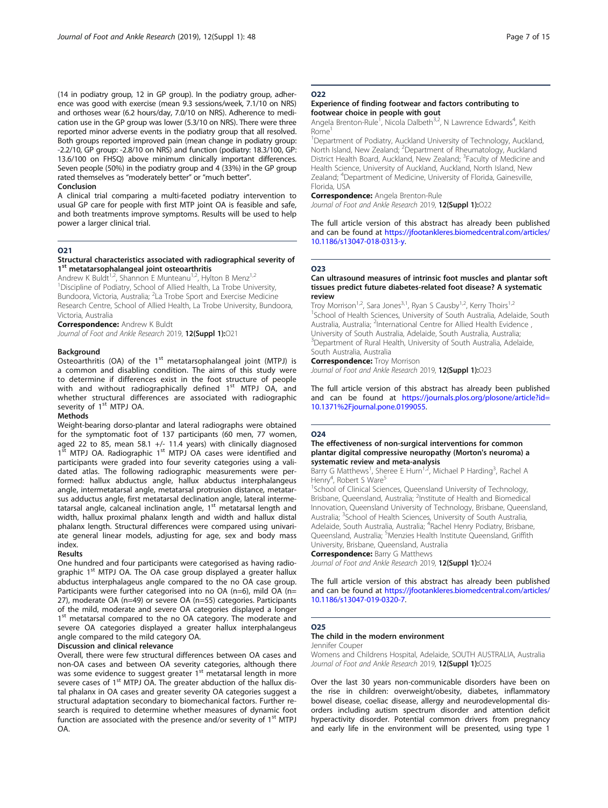(14 in podiatry group, 12 in GP group). In the podiatry group, adherence was good with exercise (mean 9.3 sessions/week, 7.1/10 on NRS) and orthoses wear (6.2 hours/day, 7.0/10 on NRS). Adherence to medication use in the GP group was lower (5.3/10 on NRS). There were three reported minor adverse events in the podiatry group that all resolved. Both groups reported improved pain (mean change in podiatry group: -2.2/10, GP group: -2.8/10 on NRS) and function (podiatry: 18.3/100, GP: 13.6/100 on FHSQ) above minimum clinically important differences. Seven people (50%) in the podiatry group and 4 (33%) in the GP group rated themselves as "moderately better" or "much better".

#### Conclusion

A clinical trial comparing a multi-faceted podiatry intervention to usual GP care for people with first MTP joint OA is feasible and safe, and both treatments improve symptoms. Results will be used to help power a larger clinical trial.

#### O21

#### Structural characteristics associated with radiographical severity of 1<sup>st</sup> metatarsophalangeal joint osteoarthritis

Andrew K Buldt<sup>1,2</sup>, Shannon E Munteanu<sup>1,2</sup>, Hylton B Menz<sup>1,2</sup> <sup>1</sup> Discipline of Podiatry, School of Allied Health, La Trobe University, Bundoora, Victoria, Australia; <sup>2</sup>La Trobe Sport and Exercise Medicine Research Centre, School of Allied Health, La Trobe University, Bundoora, Victoria, Australia

**Correspondence: Andrew K Buldt** 

Journal of Foot and Ankle Research 2019, 12(Suppl 1):021

#### Background

Osteoarthritis (OA) of the 1<sup>st</sup> metatarsophalangeal joint (MTPJ) is a common and disabling condition. The aims of this study were to determine if differences exist in the foot structure of people with and without radiographically defined  $1<sup>st</sup>$  MTPJ OA, and whether structural differences are associated with radiographic severity of 1<sup>st</sup> MTPJ OA.

#### Methods

Weight-bearing dorso-plantar and lateral radiographs were obtained for the symptomatic foot of 137 participants (60 men, 77 women, aged 22 to 85, mean 58.1 +/- 11.4 years) with clinically diagnosed<br>1<sup>st</sup> MTPJ OA. Radiographic 1<sup>st</sup> MTPJ OA cases were identified and participants were graded into four severity categories using a validated atlas. The following radiographic measurements were performed: hallux abductus angle, hallux abductus interphalangeus angle, intermetatarsal angle, metatarsal protrusion distance, metatarsus adductus angle, first metatarsal declination angle, lateral intermetatarsal angle, calcaneal inclination angle, 1<sup>st</sup> metatarsal length and width, hallux proximal phalanx length and width and hallux distal phalanx length. Structural differences were compared using univariate general linear models, adjusting for age, sex and body mass index.

#### Results

One hundred and four participants were categorised as having radiographic 1<sup>st</sup> MTPJ OA. The OA case group displayed a greater hallux abductus interphalageus angle compared to the no OA case group. Participants were further categorised into no OA (n=6), mild OA (n= 27), moderate OA (n=49) or severe OA (n=55) categories. Participants of the mild, moderate and severe OA categories displayed a longer 1st metatarsal compared to the no OA category. The moderate and severe OA categories displayed a greater hallux interphalangeus angle compared to the mild category OA.

#### Discussion and clinical relevance

Overall, there were few structural differences between OA cases and non-OA cases and between OA severity categories, although there was some evidence to suggest greater  $1<sup>st</sup>$  metatarsal length in more severe cases of 1<sup>st</sup> MTPJ OA. The greater abduction of the hallux distal phalanx in OA cases and greater severity OA categories suggest a structural adaptation secondary to biomechanical factors. Further research is required to determine whether measures of dynamic foot function are associated with the presence and/or severity of  $1<sup>st</sup>$  MTPJ OA.

# O<sub>22</sub>

#### Experience of finding footwear and factors contributing to footwear choice in people with gout

Angela Brenton-Rule<sup>1</sup>, Nicola Dalbeth<sup>3,2</sup>, N Lawrence Edwards<sup>4</sup>, Keith Rome<sup>1</sup>

<sup>1</sup>Department of Podiatry, Auckland University of Technology, Auckland North Island, New Zealand; <sup>2</sup>Department of Rheumatology, Auckland District Health Board, Auckland, New Zealand; <sup>3</sup>Faculty of Medicine and Health Science, University of Auckland, Auckland, North Island, New Zealand; <sup>4</sup> Department of Medicine, University of Florida, Gainesville, Florida, USA

Correspondence: Angela Brenton-Rule Journal of Foot and Ankle Research 2019, 12(Suppl 1):022

#### The full article version of this abstract has already been published and can be found at [https://jfootankleres.biomedcentral.com/articles/](https://jfootankleres.biomedcentral.com/articles/10.1186/s13047-018-0313-y) [10.1186/s13047-018-0313-y](https://jfootankleres.biomedcentral.com/articles/10.1186/s13047-018-0313-y).

# O23

#### Can ultrasound measures of intrinsic foot muscles and plantar soft tissues predict future diabetes-related foot disease? A systematic review

Troy Morrison<sup>1,2</sup>, Sara Jones<sup>3,1</sup>, Ryan S Causby<sup>1,2</sup>, Kerry Thoirs<sup>1,2</sup> <sup>1</sup>School of Health Sciences, University of South Australia, Adelaide, South Australia, Australia; <sup>2</sup>International Centre for Allied Health Evidence University of South Australia, Adelaide, South Australia, Australia; <sup>3</sup>Department of Rural Health, University of South Australia, Adelaide, South Australia, Australia

# **Correspondence: Troy Morrison**

Journal of Foot and Ankle Research 2019, 12(Suppl 1):023

The full article version of this abstract has already been published and can be found at [https://journals.plos.org/plosone/article?id=](https://journals.plos.org/plosone/article?id=10.1371%2Fjournal.pone.0199055) [10.1371%2Fjournal.pone.0199055.](https://journals.plos.org/plosone/article?id=10.1371%2Fjournal.pone.0199055)

#### O24

#### The effectiveness of non-surgical interventions for common plantar digital compressive neuropathy (Morton's neuroma) a systematic review and meta-analysis

Barry G Matthews<sup>1</sup>, Sheree E Hurn<sup>1,2</sup>, Michael P Harding<sup>3</sup>, Rachel A Henry<sup>4</sup>, Robert S Ware<sup>5</sup>

<sup>1</sup>School of Clinical Sciences, Queensland University of Technology, Brisbane, Queensland, Australia; <sup>2</sup>Institute of Health and Biomedical Innovation, Queensland University of Technology, Brisbane, Queensland, Australia; <sup>3</sup>School of Health Sciences, University of South Australia Adelaide, South Australia, Australia; <sup>4</sup>Rachel Henry Podiatry, Brisbane Queensland, Australia; <sup>5</sup>Menzies Health Institute Queensland, Griffith University, Brisbane, Queensland, Australia **Correspondence: Barry G Matthews** 

Journal of Foot and Ankle Research 2019, 12(Suppl 1):024

The full article version of this abstract has already been published and can be found at [https://jfootankleres.biomedcentral.com/articles/](https://jfootankleres.biomedcentral.com/articles/10.1186/s13047-019-0320-7) [10.1186/s13047-019-0320-7.](https://jfootankleres.biomedcentral.com/articles/10.1186/s13047-019-0320-7)

#### O25

# The child in the modern environment

#### Jennifer Couper

Womens and Childrens Hospital, Adelaide, SOUTH AUSTRALIA, Australia Journal of Foot and Ankle Research 2019, 12(Suppl 1):025

Over the last 30 years non-communicable disorders have been on the rise in children: overweight/obesity, diabetes, inflammatory bowel disease, coeliac disease, allergy and neurodevelopmental disorders including autism spectrum disorder and attention deficit hyperactivity disorder. Potential common drivers from pregnancy and early life in the environment will be presented, using type 1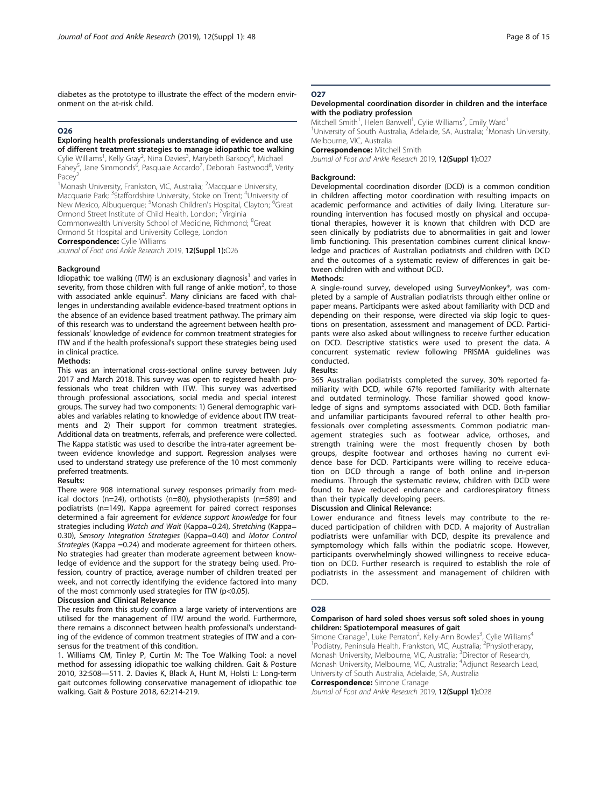diabetes as the prototype to illustrate the effect of the modern environment on the at-risk child.

#### O26

#### Exploring health professionals understanding of evidence and use of different treatment strategies to manage idiopathic toe walking

Cylie Williams<sup>1</sup>, Kelly Gray<sup>2</sup>, Nina Davies<sup>3</sup>, Marybeth Barkocy<sup>4</sup>, Michael Fahey<sup>5</sup>, Jane Simmonds<sup>6</sup>, Pasquale Accardo<sup>7</sup>, Deborah Eastwood<sup>8</sup>, Verity Pacey

<sup>1</sup>Monash University, Frankston, VIC, Australia; <sup>2</sup>Macquarie University, Macquarie Park; <sup>3</sup>Staffordshire University, Stoke on Trent; <sup>4</sup>University of New Mexico, Albuquerque; <sup>5</sup>Monash Children's Hospital, Clayton; <sup>6</sup>Great

Ormond Street Institute of Child Health, London; <sup>7</sup>Virginia

Commonwealth University School of Medicine, Richmond; <sup>8</sup>Great

Ormond St Hospital and University College, London

Correspondence: Cylie Williams

Journal of Foot and Ankle Research 2019, 12(Suppl 1):026

#### Background

Idiopathic toe walking (ITW) is an exclusionary diagnosis<sup>1</sup> and varies in severity, from those children with full range of ankle motion<sup>2</sup>, to those with associated ankle equinus<sup>2</sup>. Many clinicians are faced with challenges in understanding available evidence-based treatment options in the absence of an evidence based treatment pathway. The primary aim of this research was to understand the agreement between health professionals' knowledge of evidence for common treatment strategies for ITW and if the health professional's support these strategies being used in clinical practice.

#### Methods:

This was an international cross-sectional online survey between July 2017 and March 2018. This survey was open to registered health professionals who treat children with ITW. This survey was advertised through professional associations, social media and special interest groups. The survey had two components: 1) General demographic variables and variables relating to knowledge of evidence about ITW treatments and 2) Their support for common treatment strategies. Additional data on treatments, referrals, and preference were collected. The Kappa statistic was used to describe the intra-rater agreement between evidence knowledge and support. Regression analyses were used to understand strategy use preference of the 10 most commonly preferred treatments.

#### Results:

There were 908 international survey responses primarily from medical doctors (n=24), orthotists (n=80), physiotherapists (n=589) and podiatrists (n=149). Kappa agreement for paired correct responses determined a fair agreement for evidence support knowledge for four strategies including Watch and Wait (Kappa=0.24), Stretching (Kappa= 0.30), Sensory Integration Strategies (Kappa=0.40) and Motor Control Strategies (Kappa =0.24) and moderate agreement for thirteen others. No strategies had greater than moderate agreement between knowledge of evidence and the support for the strategy being used. Profession, country of practice, average number of children treated per week, and not correctly identifying the evidence factored into many of the most commonly used strategies for ITW (p<0.05).

#### Discussion and Clinical Relevance

The results from this study confirm a large variety of interventions are utilised for the management of ITW around the world. Furthermore, there remains a disconnect between health professional's understanding of the evidence of common treatment strategies of ITW and a consensus for the treatment of this condition.

1. Williams CM, Tinley P, Curtin M: The Toe Walking Tool: a novel method for assessing idiopathic toe walking children. Gait & Posture 2010, 32:508—511. 2. Davies K, Black A, Hunt M, Holsti L: Long-term gait outcomes following conservative management of idiopathic toe walking. Gait & Posture 2018, 62:214-219.

### O<sub>27</sub>

#### Developmental coordination disorder in children and the interface with the podiatry profession

Mitchell Smith<sup>1</sup>, Helen Banwell<sup>1</sup>, Cylie Williams<sup>2</sup>, Emily Ward<sup>1</sup> <sup>1</sup>University of South Australia, Adelaide, SA, Australia; <sup>2</sup>Monash University Melbourne, VIC, Australia

#### **Correspondence: Mitchell Smith**

Journal of Foot and Ankle Research 2019, 12(Suppl 1):027

#### Background:

Developmental coordination disorder (DCD) is a common condition in children affecting motor coordination with resulting impacts on academic performance and activities of daily living. Literature surrounding intervention has focused mostly on physical and occupational therapies, however it is known that children with DCD are seen clinically by podiatrists due to abnormalities in gait and lower limb functioning. This presentation combines current clinical knowledge and practices of Australian podiatrists and children with DCD and the outcomes of a systematic review of differences in gait between children with and without DCD.

#### Methods:

A single-round survey, developed using SurveyMonkey®, was completed by a sample of Australian podiatrists through either online or paper means. Participants were asked about familiarity with DCD and depending on their response, were directed via skip logic to questions on presentation, assessment and management of DCD. Participants were also asked about willingness to receive further education on DCD. Descriptive statistics were used to present the data. A concurrent systematic review following PRISMA guidelines was conducted.

#### Results:

365 Australian podiatrists completed the survey. 30% reported familiarity with DCD, while 67% reported familiarity with alternate and outdated terminology. Those familiar showed good knowledge of signs and symptoms associated with DCD. Both familiar and unfamiliar participants favoured referral to other health professionals over completing assessments. Common podiatric management strategies such as footwear advice, orthoses, and strength training were the most frequently chosen by both groups, despite footwear and orthoses having no current evidence base for DCD. Participants were willing to receive education on DCD through a range of both online and in-person mediums. Through the systematic review, children with DCD were found to have reduced endurance and cardiorespiratory fitness than their typically developing peers.

#### Discussion and Clinical Relevance:

Lower endurance and fitness levels may contribute to the reduced participation of children with DCD. A majority of Australian podiatrists were unfamiliar with DCD, despite its prevalence and symptomology which falls within the podiatric scope. However, participants overwhelmingly showed willingness to receive education on DCD. Further research is required to establish the role of podiatrists in the assessment and management of children with DCD.

#### O28

#### Comparison of hard soled shoes versus soft soled shoes in young children: Spatiotemporal measures of gait

Simone Cranage<sup>1</sup>, Luke Perraton<sup>2</sup>, Kelly-Ann Bowles<sup>3</sup>, Cylie Williams<sup>4</sup> <sup>1</sup>Podiatry, Peninsula Health, Frankston, VIC, Australia; <sup>2</sup>Physiotherapy, Monash University, Melbourne, VIC, Australia; <sup>3</sup>Director of Research Monash University, Melbourne, VIC, Australia; <sup>4</sup>Adjunct Research Lead University of South Australia, Adelaide, SA, Australia **Correspondence:** Simone Cranage

Journal of Foot and Ankle Research 2019, 12(Suppl 1):028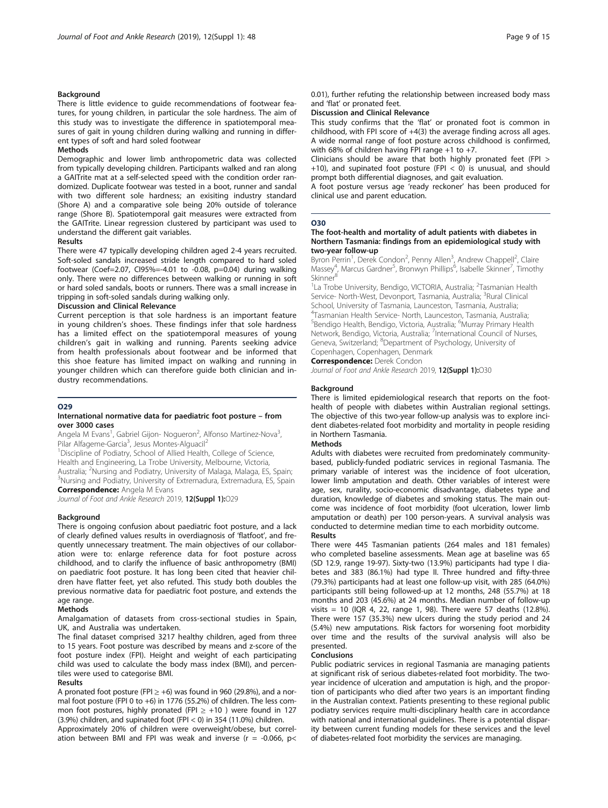#### Background

There is little evidence to guide recommendations of footwear features, for young children, in particular the sole hardness. The aim of this study was to investigate the difference in spatiotemporal measures of gait in young children during walking and running in different types of soft and hard soled footwear

#### Methods

Demographic and lower limb anthropometric data was collected from typically developing children. Participants walked and ran along a GAITrite mat at a self-selected speed with the condition order randomized. Duplicate footwear was tested in a boot, runner and sandal with two different sole hardness; an exisiting industry standard (Shore A) and a comparative sole being 20% outside of tolerance range (Shore B). Spatiotemporal gait measures were extracted from the GAITrite. Linear regression clustered by participant was used to understand the different gait variables.

#### Results

There were 47 typically developing children aged 2-4 years recruited. Soft-soled sandals increased stride length compared to hard soled footwear (Coef=2.07, CI95%=-4.01 to -0.08, p=0.04) during walking only. There were no differences between walking or running in soft or hard soled sandals, boots or runners. There was a small increase in tripping in soft-soled sandals during walking only.

#### Discussion and Clinical Relevance

Current perception is that sole hardness is an important feature in young children's shoes. These findings infer that sole hardness has a limited effect on the spatiotemporal measures of young children's gait in walking and running. Parents seeking advice from health professionals about footwear and be informed that this shoe feature has limited impact on walking and running in younger children which can therefore guide both clinician and industry recommendations.

#### O29

#### International normative data for paediatric foot posture – from over 3000 cases

Angela M Evans<sup>1</sup>, Gabriel Gijon- Nogueron<sup>2</sup>, Alfonso Martinez-Nova<sup>3</sup> , Pilar Alfageme-Garcia<sup>3</sup>, Jesus Montes-Alguacil<sup>2</sup>

<sup>1</sup> Discipline of Podiatry, School of Allied Health, College of Science, Health and Engineering, La Trobe University, Melbourne, Victoria, Australia; <sup>2</sup>Nursing and Podiatry, University of Malaga, Malaga, ES, Spain; <sup>3</sup>Nursing and Rodiatry, University of Extremadura, Es, Spain; <sup>3</sup>Nursing and Podiatry, University of Extremadura, Extremadura, ES, Spain **Correspondence:** Angela M Evans

Journal of Foot and Ankle Research 2019, 12(Suppl 1):029

#### **Background**

There is ongoing confusion about paediatric foot posture, and a lack of clearly defined values results in overdiagnosis of 'flatfoot', and frequently unnecessary treatment. The main objectives of our collaboration were to: enlarge reference data for foot posture across childhood, and to clarify the influence of basic anthropometry (BMI) on paediatric foot posture. It has long been cited that heavier children have flatter feet, yet also refuted. This study both doubles the previous normative data for paediatric foot posture, and extends the age range.

#### Methods

Amalgamation of datasets from cross-sectional studies in Spain, UK, and Australia was undertaken.

The final dataset comprised 3217 healthy children, aged from three to 15 years. Foot posture was described by means and z-score of the foot posture index (FPI). Height and weight of each participating child was used to calculate the body mass index (BMI), and percentiles were used to categorise BMI.

#### Results

A pronated foot posture (FPI  $\ge$  +6) was found in 960 (29.8%), and a normal foot posture (FPI 0 to +6) in 1776 (55.2%) of children. The less common foot postures, highly pronated (FPI  $\ge$  +10 ) were found in 127  $(3.9%)$  children, and supinated foot (FPI < 0) in 354 (11.0%) children.

Approximately 20% of children were overweight/obese, but correlation between BMI and FPI was weak and inverse ( $r = -0.066$ ,  $p <$  0.01), further refuting the relationship between increased body mass and 'flat' or pronated feet.

# Discussion and Clinical Relevance

This study confirms that the 'flat' or pronated foot is common in childhood, with FPI score of  $+4(3)$  the average finding across all ages. A wide normal range of foot posture across childhood is confirmed, with 68% of children having FPI range  $+1$  to  $+7$ .

Clinicians should be aware that both highly pronated feet (FPI > +10), and supinated foot posture (FPI  $<$  0) is unusual, and should prompt both differential diagnoses, and gait evaluation.

A foot posture versus age 'ready reckoner' has been produced for clinical use and parent education.

#### O30

#### The foot-health and mortality of adult patients with diabetes in Northern Tasmania: findings from an epidemiological study with two-year follow-up

Byron Perrin<sup>1</sup>, Derek Condon<sup>2</sup>, Penny Allen<sup>3</sup>, Andrew Chappell<sup>2</sup>, Claire Massey<sup>4</sup>, Marcus Gardner<sup>5</sup>, Bronwyn Phillips<sup>6</sup>, Isabelle Skinner<sup>7</sup>, Timothy<br>Skinner<sup>8</sup>

<sup>1</sup>La Trobe University, Bendigo, VICTORIA, Australia; <sup>2</sup>Tasmanian Health Service- North-West, Devonport, Tasmania, Australia; <sup>3</sup>Rural Clinical School, University of Tasmania, Launceston, Tasmania, Australia; 4 Tasmanian Health Service- North, Launceston, Tasmania, Australia; <sup>5</sup>Bendigo Health, Bendigo, Victoria, Australia; <sup>6</sup>Murray Primary Health Network, Bendigo, Victoria, Australia; <sup>7</sup>International Council of Nurses, Geneva, Switzerland; <sup>8</sup>Department of Psychology, University of Copenhagen, Copenhagen, Denmark

**Correspondence: Derek Condon** 

Journal of Foot and Ankle Research 2019, 12(Suppl 1):030

#### **Background**

There is limited epidemiological research that reports on the foothealth of people with diabetes within Australian regional settings. The objective of this two-year follow-up analysis was to explore incident diabetes-related foot morbidity and mortality in people residing in Northern Tasmania.

#### Methods

Adults with diabetes were recruited from predominately communitybased, publicly-funded podiatric services in regional Tasmania. The primary variable of interest was the incidence of foot ulceration, lower limb amputation and death. Other variables of interest were age, sex, rurality, socio-economic disadvantage, diabetes type and duration, knowledge of diabetes and smoking status. The main outcome was incidence of foot morbidity (foot ulceration, lower limb amputation or death) per 100 person-years. A survival analysis was conducted to determine median time to each morbidity outcome. Results

There were 445 Tasmanian patients (264 males and 181 females) who completed baseline assessments. Mean age at baseline was 65 (SD 12.9, range 19-97). Sixty-two (13.9%) participants had type I diabetes and 383 (86.1%) had type II. Three hundred and fifty-three (79.3%) participants had at least one follow-up visit, with 285 (64.0%) participants still being followed-up at 12 months, 248 (55.7%) at 18 months and 203 (45.6%) at 24 months. Median number of follow-up visits = 10 (IQR 4, 22, range 1, 98). There were 57 deaths  $(12.8\%)$ . There were 157 (35.3%) new ulcers during the study period and 24 (5.4%) new amputations. Risk factors for worsening foot morbidity over time and the results of the survival analysis will also be presented.

#### Conclusions

Public podiatric services in regional Tasmania are managing patients at significant risk of serious diabetes-related foot morbidity. The twoyear incidence of ulceration and amputation is high, and the proportion of participants who died after two years is an important finding in the Australian context. Patients presenting to these regional public podiatry services require multi-disciplinary health care in accordance with national and international guidelines. There is a potential disparity between current funding models for these services and the level of diabetes-related foot morbidity the services are managing.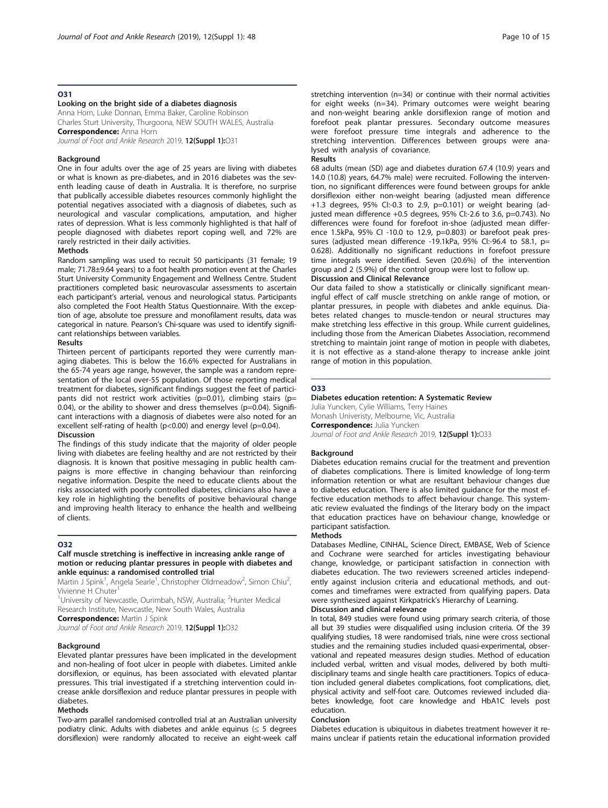#### O31

#### Looking on the bright side of a diabetes diagnosis

Anna Horn, Luke Donnan, Emma Baker, Caroline Robinson Charles Sturt University, Thurgoona, NEW SOUTH WALES, Australia Correspondence: Anna Horn

Journal of Foot and Ankle Research 2019, 12(Suppl 1):031

#### Background

One in four adults over the age of 25 years are living with diabetes or what is known as pre-diabetes, and in 2016 diabetes was the seventh leading cause of death in Australia. It is therefore, no surprise that publically accessible diabetes resources commonly highlight the potential negatives associated with a diagnosis of diabetes, such as neurological and vascular complications, amputation, and higher rates of depression. What is less commonly highlighted is that half of people diagnosed with diabetes report coping well, and 72% are rarely restricted in their daily activities.

#### Methods

Random sampling was used to recruit 50 participants (31 female; 19 male; 71.78±9.64 years) to a foot health promotion event at the Charles Sturt University Community Engagement and Wellness Centre. Student practitioners completed basic neurovascular assessments to ascertain each participant's arterial, venous and neurological status. Participants also completed the Foot Health Status Questionnaire. With the exception of age, absolute toe pressure and monofilament results, data was categorical in nature. Pearson's Chi-square was used to identify significant relationships between variables.

#### Results

Thirteen percent of participants reported they were currently managing diabetes. This is below the 16.6% expected for Australians in the 65-74 years age range, however, the sample was a random representation of the local over-55 population. Of those reporting medical treatment for diabetes, significant findings suggest the feet of participants did not restrict work activities (p=0.01), climbing stairs (p= 0.04), or the ability to shower and dress themselves ( $p=0.04$ ). Significant interactions with a diagnosis of diabetes were also noted for an excellent self-rating of health (p<0.00) and energy level (p=0.04). Discussion

The findings of this study indicate that the majority of older people living with diabetes are feeling healthy and are not restricted by their diagnosis. It is known that positive messaging in public health campaigns is more effective in changing behaviour than reinforcing negative information. Despite the need to educate clients about the risks associated with poorly controlled diabetes, clinicians also have a key role in highlighting the benefits of positive behavioural change and improving health literacy to enhance the health and wellbeing of clients.

#### O32

#### Calf muscle stretching is ineffective in increasing ankle range of motion or reducing plantar pressures in people with diabetes and ankle equinus: a randomised controlled trial

Martin J Spink<sup>1</sup>, Angela Searle<sup>1</sup>, Christopher Oldmeadow<sup>2</sup>, Simon Chiu<sup>2</sup> , Vivienne H Chuter

<sup>1</sup>University of Newcastle, Ourimbah, NSW, Australia; <sup>2</sup>Hunter Medical Research Institute, Newcastle, New South Wales, Australia

**Correspondence: Martin J Spink** 

Journal of Foot and Ankle Research 2019, 12(Suppl 1):032

#### Background

Elevated plantar pressures have been implicated in the development and non-healing of foot ulcer in people with diabetes. Limited ankle dorsiflexion, or equinus, has been associated with elevated plantar pressures. This trial investigated if a stretching intervention could increase ankle dorsiflexion and reduce plantar pressures in people with diabetes.

#### Methods

Two-arm parallel randomised controlled trial at an Australian university podiatry clinic. Adults with diabetes and ankle equinus ( $\leq$  5 degrees dorsiflexion) were randomly allocated to receive an eight-week calf stretching intervention (n=34) or continue with their normal activities for eight weeks (n=34). Primary outcomes were weight bearing and non-weight bearing ankle dorsiflexion range of motion and forefoot peak plantar pressures. Secondary outcome measures were forefoot pressure time integrals and adherence to the stretching intervention. Differences between groups were analysed with analysis of covariance.

#### Results

68 adults (mean (SD) age and diabetes duration 67.4 (10.9) years and 14.0 (10.8) years, 64.7% male) were recruited. Following the intervention, no significant differences were found between groups for ankle dorsiflexion either non-weight bearing (adjusted mean difference +1.3 degrees,  $95\%$  CI:-0.3 to 2.9, p=0.101) or weight bearing (adjusted mean difference +0.5 degrees, 95% CI:-2.6 to 3.6, p=0.743). No differences were found for forefoot in-shoe (adjusted mean difference 1.5kPa, 95% CI -10.0 to 12.9, p=0.803) or barefoot peak pressures (adjusted mean difference -19.1kPa, 95% CI:-96.4 to 58.1, p= 0.628). Additionally no significant reductions in forefoot pressure time integrals were identified. Seven (20.6%) of the intervention group and 2 (5.9%) of the control group were lost to follow up.

#### Discussion and Clinical Relevance

Our data failed to show a statistically or clinically significant meaningful effect of calf muscle stretching on ankle range of motion, or plantar pressures, in people with diabetes and ankle equinus. Diabetes related changes to muscle-tendon or neural structures may make stretching less effective in this group. While current guidelines, including those from the American Diabetes Association, recommend stretching to maintain joint range of motion in people with diabetes, it is not effective as a stand-alone therapy to increase ankle joint range of motion in this population.

#### O33

#### Diabetes education retention: A Systematic Review

Julia Yuncken, Cylie Williams, Terry Haines Monash Univeristy, Melbourne, Vic, Australia **Correspondence: Julia Yuncken** Journal of Foot and Ankle Research 2019, 12(Suppl 1):033

#### **Background**

Diabetes education remains crucial for the treatment and prevention of diabetes complications. There is limited knowledge of long-term information retention or what are resultant behaviour changes due to diabetes education. There is also limited guidance for the most effective education methods to affect behaviour change. This systematic review evaluated the findings of the literary body on the impact that education practices have on behaviour change, knowledge or participant satisfaction.

#### Methods

Databases Medline, CINHAL, Science Direct, EMBASE, Web of Science and Cochrane were searched for articles investigating behaviour change, knowledge, or participant satisfaction in connection with diabetes education. The two reviewers screened articles independently against inclusion criteria and educational methods, and outcomes and timeframes were extracted from qualifying papers. Data were synthesized against Kirkpatrick's Hierarchy of Learning.

# Discussion and clinical relevance

In total, 849 studies were found using primary search criteria, of those all but 39 studies were disqualified using inclusion criteria. Of the 39 qualifying studies, 18 were randomised trials, nine were cross sectional studies and the remaining studies included quasi-experimental, observational and repeated measures design studies. Method of education included verbal, written and visual modes, delivered by both multidisciplinary teams and single health care practitioners. Topics of education included general diabetes complications, foot complications, diet, physical activity and self-foot care. Outcomes reviewed included diabetes knowledge, foot care knowledge and HbA1C levels post education.

#### Conclusion

Diabetes education is ubiquitous in diabetes treatment however it remains unclear if patients retain the educational information provided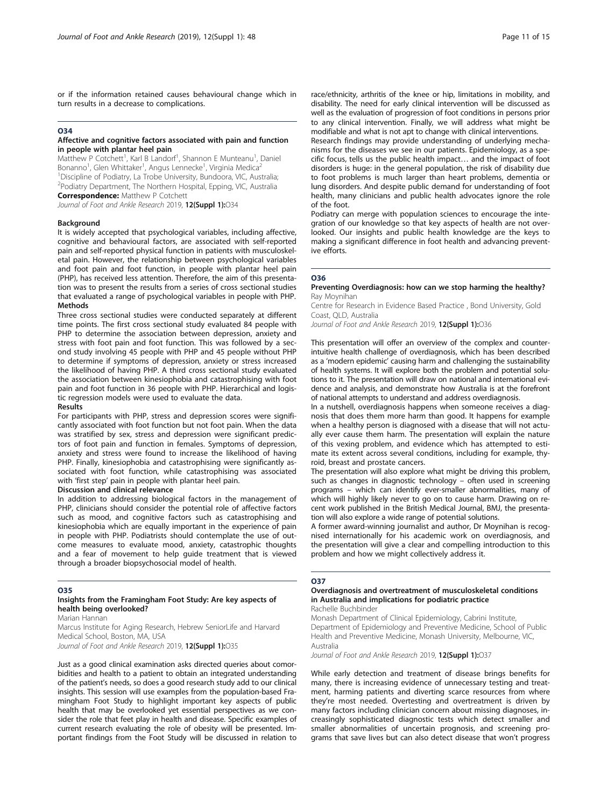or if the information retained causes behavioural change which in turn results in a decrease to complications.

#### O34

#### Affective and cognitive factors associated with pain and function in people with plantar heel pain

Matthew P Cotchett<sup>1</sup>, Karl B Landorf<sup>1</sup>, Shannon E Munteanu<sup>1</sup>, Daniel Bonanno<sup>1</sup>, Glen Whittaker<sup>1</sup>, Angus Lennecke<sup>1</sup>, Virginia Medica<sup>2</sup> <sup>1</sup> Discipline of Podiatry, La Trobe University, Bundoora, VIC, Australia; 2 Podiatry Department, The Northern Hospital, Epping, VIC, Australia **Correspondence: Matthew P Cotchett** 

Journal of Foot and Ankle Research 2019, 12(Suppl 1):034

#### Background

It is widely accepted that psychological variables, including affective, cognitive and behavioural factors, are associated with self-reported pain and self-reported physical function in patients with musculoskeletal pain. However, the relationship between psychological variables and foot pain and foot function, in people with plantar heel pain (PHP), has received less attention. Therefore, the aim of this presentation was to present the results from a series of cross sectional studies that evaluated a range of psychological variables in people with PHP. **Methods** 

Three cross sectional studies were conducted separately at different time points. The first cross sectional study evaluated 84 people with PHP to determine the association between depression, anxiety and stress with foot pain and foot function. This was followed by a second study involving 45 people with PHP and 45 people without PHP to determine if symptoms of depression, anxiety or stress increased the likelihood of having PHP. A third cross sectional study evaluated the association between kinesiophobia and catastrophising with foot pain and foot function in 36 people with PHP. Hierarchical and logistic regression models were used to evaluate the data.

#### Results

For participants with PHP, stress and depression scores were significantly associated with foot function but not foot pain. When the data was stratified by sex, stress and depression were significant predictors of foot pain and function in females. Symptoms of depression, anxiety and stress were found to increase the likelihood of having PHP. Finally, kinesiophobia and catastrophising were significantly associated with foot function, while catastrophising was associated with 'first step' pain in people with plantar heel pain.

#### Discussion and clinical relevance

In addition to addressing biological factors in the management of PHP, clinicians should consider the potential role of affective factors such as mood, and cognitive factors such as catastrophising and kinesiophobia which are equally important in the experience of pain in people with PHP. Podiatrists should contemplate the use of outcome measures to evaluate mood, anxiety, catastrophic thoughts and a fear of movement to help guide treatment that is viewed through a broader biopsychosocial model of health.

#### O35

#### Insights from the Framingham Foot Study: Are key aspects of health being overlooked?

Marian Hannan

Marcus Institute for Aging Research, Hebrew SeniorLife and Harvard Medical School, Boston, MA, USA Journal of Foot and Ankle Research 2019, 12(Suppl 1):035

Just as a good clinical examination asks directed queries about comorbidities and health to a patient to obtain an integrated understanding of the patient's needs, so does a good research study add to our clinical insights. This session will use examples from the population-based Framingham Foot Study to highlight important key aspects of public health that may be overlooked yet essential perspectives as we consider the role that feet play in health and disease. Specific examples of current research evaluating the role of obesity will be presented. Important findings from the Foot Study will be discussed in relation to

race/ethnicity, arthritis of the knee or hip, limitations in mobility, and disability. The need for early clinical intervention will be discussed as well as the evaluation of progression of foot conditions in persons prior to any clinical intervention. Finally, we will address what might be modifiable and what is not apt to change with clinical interventions.

Research findings may provide understanding of underlying mechanisms for the diseases we see in our patients. Epidemiology, as a specific focus, tells us the public health impact… and the impact of foot disorders is huge: in the general population, the risk of disability due to foot problems is much larger than heart problems, dementia or lung disorders. And despite public demand for understanding of foot health, many clinicians and public health advocates ignore the role of the foot.

Podiatry can merge with population sciences to encourage the integration of our knowledge so that key aspects of health are not overlooked. Our insights and public health knowledge are the keys to making a significant difference in foot health and advancing preventive efforts.

#### O36

#### Preventing Overdiagnosis: how can we stop harming the healthy? Ray Moynihan

Centre for Research in Evidence Based Practice , Bond University, Gold Coast, QLD, Australia

Journal of Foot and Ankle Research 2019, 12(Suppl 1):036

This presentation will offer an overview of the complex and counterintuitive health challenge of overdiagnosis, which has been described as a 'modern epidemic' causing harm and challenging the sustainability of health systems. It will explore both the problem and potential solutions to it. The presentation will draw on national and international evidence and analysis, and demonstrate how Australia is at the forefront of national attempts to understand and address overdiagnosis.

In a nutshell, overdiagnosis happens when someone receives a diagnosis that does them more harm than good. It happens for example when a healthy person is diagnosed with a disease that will not actually ever cause them harm. The presentation will explain the nature of this vexing problem, and evidence which has attempted to estimate its extent across several conditions, including for example, thyroid, breast and prostate cancers.

The presentation will also explore what might be driving this problem, such as changes in diagnostic technology – often used in screening programs – which can identify ever-smaller abnormalities, many of which will highly likely never to go on to cause harm. Drawing on recent work published in the British Medical Journal, BMJ, the presentation will also explore a wide range of potential solutions.

A former award-winning journalist and author, Dr Moynihan is recognised internationally for his academic work on overdiagnosis, and the presentation will give a clear and compelling introduction to this problem and how we might collectively address it.

#### O37

#### Overdiagnosis and overtreatment of musculoskeletal conditions in Australia and implications for podiatric practice Rachelle Buchbinder

Monash Department of Clinical Epidemiology, Cabrini Institute, Department of Epidemiology and Preventive Medicine, School of Public Health and Preventive Medicine, Monash University, Melbourne, VIC, Australia

Journal of Foot and Ankle Research 2019, 12(Suppl 1):037

While early detection and treatment of disease brings benefits for many, there is increasing evidence of unnecessary testing and treatment, harming patients and diverting scarce resources from where they're most needed. Overtesting and overtreatment is driven by many factors including clinician concern about missing diagnoses, increasingly sophisticated diagnostic tests which detect smaller and smaller abnormalities of uncertain prognosis, and screening programs that save lives but can also detect disease that won't progress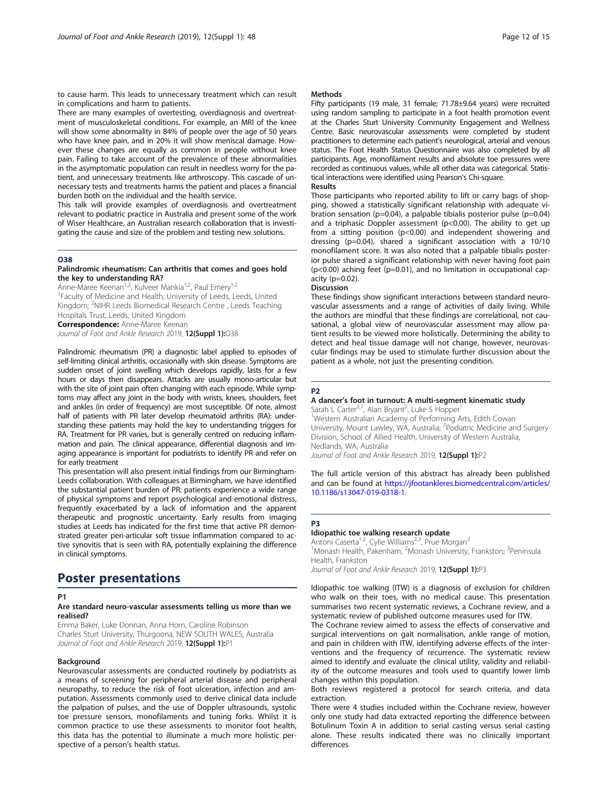to cause harm. This leads to unnecessary treatment which can result in complications and harm to patients.

There are many examples of overtesting, overdiagnosis and overtreatment of musculoskeletal conditions. For example, an MRI of the knee will show some abnormality in 84% of people over the age of 50 years who have knee pain, and in 20% it will show meniscal damage. However these changes are equally as common in people without knee pain. Failing to take account of the prevalence of these abnormalities in the asymptomatic population can result in needless worry for the patient, and unnecessary treatments like arthroscopy. This cascade of unnecessary tests and treatments harms the patient and places a financial burden both on the individual and the health service.

This talk will provide examples of overdiagnosis and overtreatment relevant to podiatric practice in Australia and present some of the work of Wiser Healthcare, an Australian research collaboration that is investigating the cause and size of the problem and testing new solutions.

#### O38

#### Palindromic rheumatism: Can arthritis that comes and goes hold the key to understanding RA?

Anne-Maree Keenan<sup>1,2</sup>, Kulveer Mankia<sup>1,2</sup>, Paul Emery<sup>1,2</sup> <sup>1</sup> Faculty of Medicine and Health, University of Leeds, Leeds, United Kingdom; <sup>2</sup>NIHR Leeds Biomedical Research Centre, Leeds Teaching Hospitals Trust, Leeds, United Kingdom **Correspondence:** Anne-Maree Keenan

Journal of Foot and Ankle Research 2019, 12(Suppl 1):038

Palindromic rheumatism (PR) a diagnostic label applied to episodes of self-limiting clinical arthritis, occasionally with skin disease. Symptoms are sudden onset of joint swelling which develops rapidly, lasts for a few hours or days then disappears. Attacks are usually mono-articular but with the site of joint pain often changing with each episode. While symptoms may affect any joint in the body with wrists, knees, shoulders, feet and ankles (in order of frequency) are most susceptible. Of note, almost half of patients with PR later develop rheumatoid arthritis (RA): understanding these patients may hold the key to understanding triggers for RA. Treatment for PR varies, but is generally centred on reducing inflammation and pain. The clinical appearance, differential diagnosis and imaging appearance is important for podiatrists to identify PR and refer on for early treatment

This presentation will also present initial findings from our Birmingham-Leeds collaboration. With colleagues at Birmingham, we have identified the substantial patient burden of PR: patients experience a wide range of physical symptoms and report psychological and emotional distress, frequently exacerbated by a lack of information and the apparent therapeutic and prognostic uncertainty. Early results from imaging studies at Leeds has indicated for the first time that active PR demonstrated greater peri-articular soft tissue inflammation compared to active synovitis that is seen with RA, potentially explaining the difference in clinical symptoms.

# Poster presentations

#### D<sub>1</sub>

#### Are standard neuro-vascular assessments telling us more than we realised?

Emma Baker, Luke Donnan, Anna Horn, Caroline Robinson Charles Sturt University, Thurgoona, NEW SOUTH WALES, Australia Journal of Foot and Ankle Research 2019, 12(Suppl 1):P1

#### Background

Neurovascular assessments are conducted routinely by podiatrists as a means of screening for peripheral arterial disease and peripheral neuropathy, to reduce the risk of foot ulceration, infection and amputation. Assessments commonly used to derive clinical data include the palpation of pulses, and the use of Doppler ultrasounds, systolic toe pressure sensors, monofilaments and tuning forks. Whilst it is common practice to use these assessments to monitor foot health, this data has the potential to illuminate a much more holistic perspective of a person's health status.

#### Methods

Fifty participants (19 male, 31 female; 71.78±9.64 years) were recruited using random sampling to participate in a foot health promotion event at the Charles Sturt University Community Engagement and Wellness Centre. Basic neurovascular assessments were completed by student practitioners to determine each patient's neurological, arterial and venous status. The Foot Health Status Questionnaire was also completed by all participants. Age, monofilament results and absolute toe pressures were recorded as continuous values, while all other data was categorical. Statistical interactions were identified using Pearson's Chi-square.

#### Results

Those participants who reported ability to lift or carry bags of shopping, showed a statistically significant relationship with adequate vibration sensation (p=0.04), a palpable tibialis posterior pulse (p=0.04) and a triphasic Doppler assessment ( $p$ <0.00). The ability to get up from a sitting position (p<0.00) and independent showering and dressing (p=0.04), shared a significant association with a 10/10 monofilament score. It was also noted that a palpable tibialis posterior pulse shared a significant relationship with never having foot pain  $(p<0.00)$  aching feet  $(p=0.01)$ , and no limitation in occupational capacity (p=0.02).

#### Discussion

These findings show significant interactions between standard neurovascular assessments and a range of activities of daily living. While the authors are mindful that these findings are correlational, not causational, a global view of neurovascular assessment may allow patient results to be viewed more holistically. Determining the ability to detect and heal tissue damage will not change, however, neurovascular findings may be used to stimulate further discussion about the patient as a whole, not just the presenting condition.

#### P2

# A dancer's foot in turnout: A multi-segment kinematic study

Sarah L Carter<sup>2,1</sup>, Alan Bryant<sup>2</sup>, Luke S Hopper<sup>1</sup> <sup>1</sup>Western Australian Academy of Performing Arts, Edith Cowan University, Mount Lawley, WA, Australia; <sup>2</sup>Podiatric Medicine and Surgery Division, School of Allied Health, University of Western Australia, Nedlands, WA, Australia

Journal of Foot and Ankle Research 2019, 12(Suppl 1):P2

The full article version of this abstract has already been published and can be found at [https://jfootankleres.biomedcentral.com/articles/](https://jfootankleres.biomedcentral.com/articles/10.1186/s13047-019-0318-1) [10.1186/s13047-019-0318-1.](https://jfootankleres.biomedcentral.com/articles/10.1186/s13047-019-0318-1)

#### P3

#### Idiopathic toe walking research update

Antoni Caserta<sup>1,2</sup>, Cylie Williams<sup>2,3</sup>, Prue Morgan<sup>2</sup> <sup>1</sup>Monash Health, Pakenham; <sup>2</sup>Monash University, Frankston; <sup>3</sup>Peninsula Health, Frankston Journal of Foot and Ankle Research 2019, 12(Suppl 1):P3

Idiopathic toe walking (ITW) is a diagnosis of exclusion for children

who walk on their toes, with no medical cause. This presentation summarises two recent systematic reviews, a Cochrane review, and a systematic review of published outcome measures used for ITW.

The Cochrane review aimed to assess the effects of conservative and surgical interventions on gait normalisation, ankle range of motion, and pain in children with ITW, identifying adverse effects of the interventions and the frequency of recurrence. The systematic review aimed to identify and evaluate the clinical utility, validity and reliability of the outcome measures and tools used to quantify lower limb changes within this population.

Both reviews registered a protocol for search criteria, and data extraction.

There were 4 studies included within the Cochrane review, however only one study had data extracted reporting the difference between Botulinum Toxin A in addition to serial casting versus serial casting alone. These results indicated there was no clinically important differences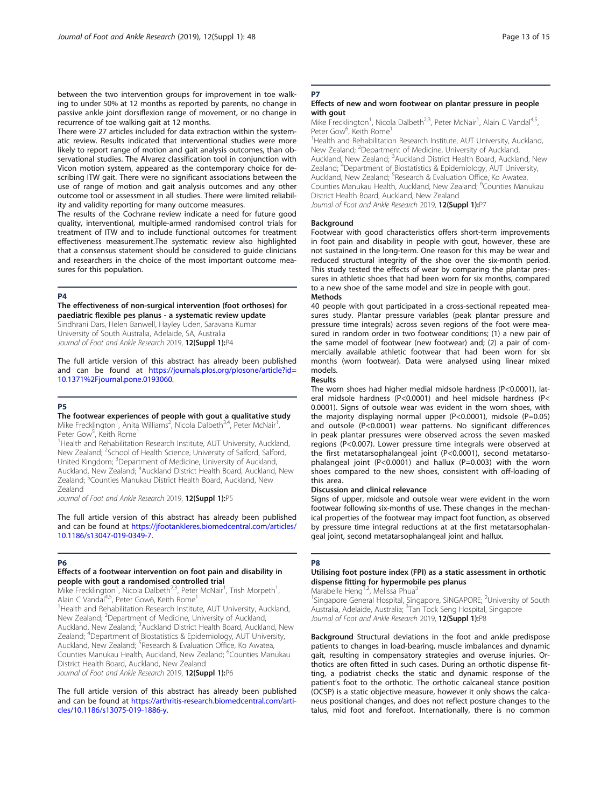between the two intervention groups for improvement in toe walking to under 50% at 12 months as reported by parents, no change in passive ankle joint dorsiflexion range of movement, or no change in recurrence of toe walking gait at 12 months.

There were 27 articles included for data extraction within the systematic review. Results indicated that interventional studies were more likely to report range of motion and gait analysis outcomes, than observational studies. The Alvarez classification tool in conjunction with Vicon motion system, appeared as the contemporary choice for describing ITW gait. There were no significant associations between the use of range of motion and gait analysis outcomes and any other outcome tool or assessment in all studies. There were limited reliability and validity reporting for many outcome measures.

The results of the Cochrane review indicate a need for future good quality, interventional, multiple-armed randomised control trials for treatment of ITW and to include functional outcomes for treatment effectiveness measurement.The systematic review also highlighted that a consensus statement should be considered to guide clinicians and researchers in the choice of the most important outcome measures for this population.

#### P4

The effectiveness of non-surgical intervention (foot orthoses) for paediatric flexible pes planus - a systematic review update Sindhrani Dars, Helen Banwell, Hayley Uden, Saravana Kumar

University of South Australia, Adelaide, SA, Australia Journal of Foot and Ankle Research 2019, 12(Suppl 1):P4

The full article version of this abstract has already been published and can be found at [https://journals.plos.org/plosone/article?id=](https://journals.plos.org/plosone/article?id=10.1371%2Fjournal.pone.0193060) [10.1371%2Fjournal.pone.0193060.](https://journals.plos.org/plosone/article?id=10.1371%2Fjournal.pone.0193060)

#### P5

#### The footwear experiences of people with gout a qualitative study Mike Frecklington<sup>1</sup>, Anita Williams<sup>2</sup>, Nicola Dalbeth<sup>3,4</sup>, Peter McNair<sup>1</sup> ,

Peter Gow<sup>5</sup>, Keith Rome<sup>1</sup> <sup>1</sup> Health and Rehabilitation Research Institute, AUT University, Auckland,

New Zealand; <sup>2</sup>School of Health Science, University of Salford, Salford, United Kingdom; <sup>3</sup>Department of Medicine, University of Auckland, Auckland, New Zealand; <sup>4</sup>Auckland District Health Board, Auckland, New Zealand; <sup>5</sup>Counties Manukau District Health Board, Auckland, New Zealand

Journal of Foot and Ankle Research 2019, 12(Suppl 1):P5

The full article version of this abstract has already been published and can be found at [https://jfootankleres.biomedcentral.com/articles/](https://jfootankleres.biomedcentral.com/articles/10.1186/s13047-019-0349-7) [10.1186/s13047-019-0349-7](https://jfootankleres.biomedcentral.com/articles/10.1186/s13047-019-0349-7).

#### P6

#### Effects of a footwear intervention on foot pain and disability in people with gout a randomised controlled trial

Mike Frecklington<sup>1</sup>, Nicola Dalbeth<sup>2,3</sup>, Peter McNair<sup>1</sup>, Trish Morpeth<sup>1</sup> , Alain C Vandal<sup>4,5</sup>, Peter Gow6, Keith Rome<sup>1</sup>

<sup>1</sup> Health and Rehabilitation Research Institute, AUT University, Auckland, New Zealand; <sup>2</sup>Department of Medicine, University of Auckland, Auckland, New Zealand; <sup>3</sup>Auckland District Health Board, Auckland, New Zealand; <sup>4</sup>Department of Biostatistics & Epidemiology, AUT University, Auckland, New Zealand; <sup>5</sup>Research & Evaluation Office, Ko Awatea, Counties Manukau Health, Auckland, New Zealand; <sup>6</sup>Counties Manukau District Health Board, Auckland, New Zealand

Journal of Foot and Ankle Research 2019, 12(Suppl 1):P6

The full article version of this abstract has already been published and can be found at [https://arthritis-research.biomedcentral.com/arti](https://arthritis-research.biomedcentral.com/articles/10.1186/s13075-019-1886-y)[cles/10.1186/s13075-019-1886-y](https://arthritis-research.biomedcentral.com/articles/10.1186/s13075-019-1886-y).

#### P7

#### Effects of new and worn footwear on plantar pressure in people with gout

Mike Frecklington<sup>1</sup>, Nicola Dalbeth<sup>2,3</sup>, Peter McNair<sup>1</sup>, Alain C Vandal<sup>4,5</sup> Peter Gow<sup>6</sup>, Keith Rome<sup>1</sup>

<sup>1</sup>Health and Rehabilitation Research Institute, AUT University, Auckland, New Zealand; <sup>2</sup>Department of Medicine, University of Auckland, Auckland, New Zealand; <sup>3</sup>Auckland District Health Board, Auckland, New Zealand; <sup>4</sup>Department of Biostatistics & Epidemiology, AUT University Auckland, New Zealand; <sup>5</sup>Research & Evaluation Office, Ko Awatea, Counties Manukau Health, Auckland, New Zealand; <sup>6</sup>Counties Manukau District Health Board, Auckland, New Zealand Journal of Foot and Ankle Research 2019, 12(Suppl 1):P7

#### Background

Footwear with good characteristics offers short-term improvements in foot pain and disability in people with gout, however, these are not sustained in the long-term. One reason for this may be wear and reduced structural integrity of the shoe over the six-month period. This study tested the effects of wear by comparing the plantar pressures in athletic shoes that had been worn for six months, compared to a new shoe of the same model and size in people with gout. Methods

40 people with gout participated in a cross-sectional repeated measures study. Plantar pressure variables (peak plantar pressure and pressure time integrals) across seven regions of the foot were measured in random order in two footwear conditions; (1) a new pair of the same model of footwear (new footwear) and; (2) a pair of commercially available athletic footwear that had been worn for six months (worn footwear). Data were analysed using linear mixed models.

#### Results

The worn shoes had higher medial midsole hardness (P<0.0001), lateral midsole hardness (P<0.0001) and heel midsole hardness (P< 0.0001). Signs of outsole wear was evident in the worn shoes, with the majority displaying normal upper (P<0.0001), midsole (P=0.05) and outsole (P<0.0001) wear patterns. No significant differences in peak plantar pressures were observed across the seven masked regions (P<0.007). Lower pressure time integrals were observed at the first metatarsophalangeal joint (P<0.0001), second metatarsophalangeal joint (P<0.0001) and hallux (P=0.003) with the worn shoes compared to the new shoes, consistent with off-loading of this area.

#### Discussion and clinical relevance

Signs of upper, midsole and outsole wear were evident in the worn footwear following six-months of use. These changes in the mechanical properties of the footwear may impact foot function, as observed by pressure time integral reductions at at the first metatarsophalangeal joint, second metatarsophalangeal joint and hallux.

#### P8

#### Utilising foot posture index (FPI) as a static assessment in orthotic dispense fitting for hypermobile pes planus

Marabelle Heng<sup>1,2</sup>, Melissa Phua<sup>3</sup>

<sup>1</sup>Singapore General Hospital, Singapore, SINGAPORE; <sup>2</sup>University of South Australia, Adelaide, Australia; <sup>3</sup>Tan Tock Seng Hospital, Singapore Journal of Foot and Ankle Research 2019, 12(Suppl 1):P8

Background Structural deviations in the foot and ankle predispose patients to changes in load-bearing, muscle imbalances and dynamic gait, resulting in compensatory strategies and overuse injuries. Orthotics are often fitted in such cases. During an orthotic dispense fitting, a podiatrist checks the static and dynamic response of the patient's foot to the orthotic. The orthotic calcaneal stance position (OCSP) is a static objective measure, however it only shows the calcaneus positional changes, and does not reflect posture changes to the talus, mid foot and forefoot. Internationally, there is no common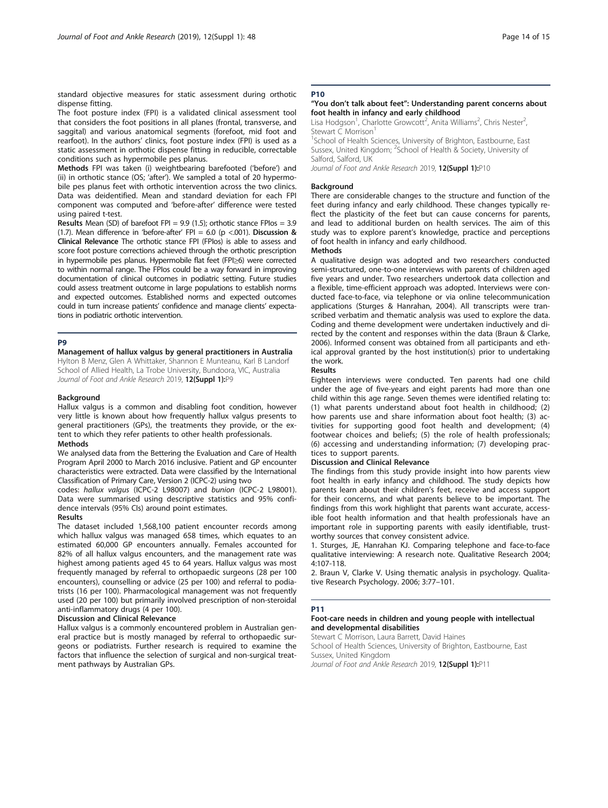standard objective measures for static assessment during orthotic dispense fitting.

The foot posture index (FPI) is a validated clinical assessment tool that considers the foot positions in all planes (frontal, transverse, and saggital) and various anatomical segments (forefoot, mid foot and rearfoot). In the authors' clinics, foot posture index (FPI) is used as a static assessment in orthotic dispense fitting in reducible, correctable conditions such as hypermobile pes planus.

Methods FPI was taken (i) weightbearing barefooted ('before') and (ii) in orthotic stance (OS; 'after'). We sampled a total of 20 hypermobile pes planus feet with orthotic intervention across the two clinics. Data was deidentified. Mean and standard deviation for each FPI component was computed and 'before-after' difference were tested using paired t-test.

**Results** Mean (SD) of barefoot FPI = 9.9 (1.5); orthotic stance FPIos = 3.9 (1.7). Mean difference in 'before-after' FPI = 6.0 (p <.001). Discussion & Clinical Relevance The orthotic stance FPI (FPIos) is able to assess and score foot posture corrections achieved through the orthotic prescription in hypermobile pes planus. Hypermobile flat feet (FPI≥6) were corrected to within normal range. The FPIos could be a way forward in improving documentation of clinical outcomes in podiatric setting. Future studies could assess treatment outcome in large populations to establish norms and expected outcomes. Established norms and expected outcomes could in turn increase patients' confidence and manage clients' expectations in podiatric orthotic intervention.

#### P9

Management of hallux valgus by general practitioners in Australia Hylton B Menz, Glen A Whittaker, Shannon E Munteanu, Karl B Landorf School of Allied Health, La Trobe University, Bundoora, VIC, Australia

Journal of Foot and Ankle Research 2019, 12(Suppl 1):P9

#### Background

Hallux valgus is a common and disabling foot condition, however very little is known about how frequently hallux valgus presents to general practitioners (GPs), the treatments they provide, or the extent to which they refer patients to other health professionals. Methods

#### We analysed data from the Bettering the Evaluation and Care of Health Program April 2000 to March 2016 inclusive. Patient and GP encounter characteristics were extracted. Data were classified by the International Classification of Primary Care, Version 2 (ICPC-2) using two

codes: hallux valgus (ICPC-2 L98007) and bunion (ICPC-2 L98001). Data were summarised using descriptive statistics and 95% confidence intervals (95% CIs) around point estimates.

#### Results

The dataset included 1,568,100 patient encounter records among which hallux valgus was managed 658 times, which equates to an estimated 60,000 GP encounters annually. Females accounted for 82% of all hallux valgus encounters, and the management rate was highest among patients aged 45 to 64 years. Hallux valgus was most frequently managed by referral to orthopaedic surgeons (28 per 100 encounters), counselling or advice (25 per 100) and referral to podiatrists (16 per 100). Pharmacological management was not frequently used (20 per 100) but primarily involved prescription of non-steroidal anti-inflammatory drugs (4 per 100).

#### Discussion and Clinical Relevance

Hallux valgus is a commonly encountered problem in Australian general practice but is mostly managed by referral to orthopaedic surgeons or podiatrists. Further research is required to examine the factors that influence the selection of surgical and non-surgical treatment pathways by Australian GPs.

# **P10**

#### "You don't talk about feet": Understanding parent concerns about foot health in infancy and early childhood

Lisa Hodgson<sup>1</sup>, Charlotte Growcott<sup>2</sup>, Anita Williams<sup>2</sup>, Chris Nester<sup>2</sup> , Stewart C Morrison<sup>1</sup>

<sup>1</sup>School of Health Sciences, University of Brighton, Eastbourne, East Sussex, United Kingdom; <sup>2</sup>School of Health & Society, University of Salford, Salford, UK

Journal of Foot and Ankle Research 2019, 12(Suppl 1):P10

#### **Background**

There are considerable changes to the structure and function of the feet during infancy and early childhood. These changes typically reflect the plasticity of the feet but can cause concerns for parents, and lead to additional burden on health services. The aim of this study was to explore parent's knowledge, practice and perceptions of foot health in infancy and early childhood.

#### Methods

A qualitative design was adopted and two researchers conducted semi-structured, one-to-one interviews with parents of children aged five years and under. Two researchers undertook data collection and a flexible, time-efficient approach was adopted. Interviews were conducted face-to-face, via telephone or via online telecommunication applications (Sturges & Hanrahan, 2004). All transcripts were transcribed verbatim and thematic analysis was used to explore the data. Coding and theme development were undertaken inductively and directed by the content and responses within the data (Braun & Clarke, 2006). Informed consent was obtained from all participants and ethical approval granted by the host institution(s) prior to undertaking the work.

#### Results

Eighteen interviews were conducted. Ten parents had one child under the age of five-years and eight parents had more than one child within this age range. Seven themes were identified relating to: (1) what parents understand about foot health in childhood; (2) how parents use and share information about foot health; (3) activities for supporting good foot health and development; (4) footwear choices and beliefs; (5) the role of health professionals; (6) accessing and understanding information; (7) developing practices to support parents.

#### Discussion and Clinical Relevance

The findings from this study provide insight into how parents view foot health in early infancy and childhood. The study depicts how parents learn about their children's feet, receive and access support for their concerns, and what parents believe to be important. The findings from this work highlight that parents want accurate, accessible foot health information and that health professionals have an important role in supporting parents with easily identifiable, trustworthy sources that convey consistent advice.

1. Sturges, JE, Hanrahan KJ. Comparing telephone and face-to-face qualitative interviewing: A research note. Qualitative Research 2004; 4:107-118.

2. Braun V, Clarke V. Using thematic analysis in psychology. Qualitative Research Psychology. 2006; 3:77–101.

#### P11

#### Foot-care needs in children and young people with intellectual and developmental disabilities

Stewart C Morrison, Laura Barrett, David Haines

School of Health Sciences, University of Brighton, Eastbourne, East Sussex, United Kingdom

Journal of Foot and Ankle Research 2019, 12(Suppl 1):P11